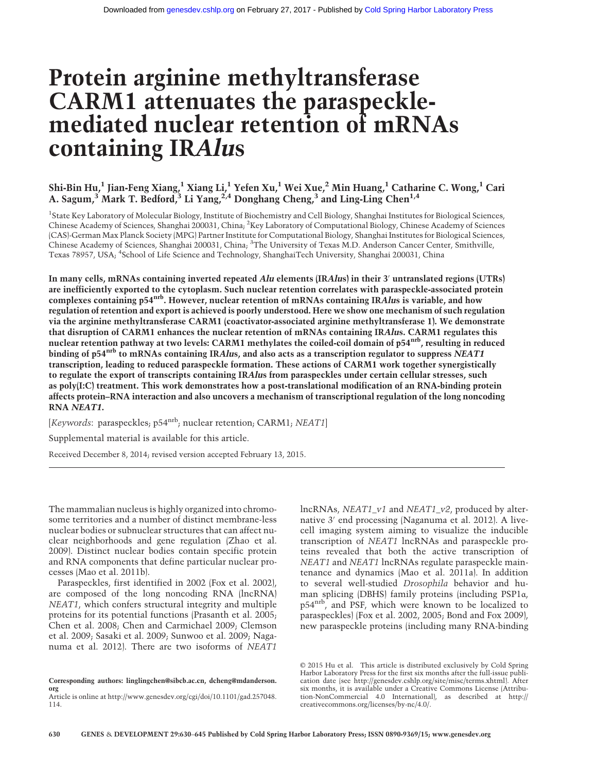# Protein arginine methyltransferase CARM1 attenuates the paraspecklemediated nuclear retention of mRNAs containing IRAlus

## Shi-Bin Hu,<sup>1</sup> Jian-Feng Xiang,<sup>1</sup> Xiang Li,<sup>1</sup> Yefen Xu,<sup>1</sup> Wei Xue,<sup>2</sup> Min Huang,<sup>1</sup> Catharine C. Wong,<sup>1</sup> Cari A. Sagum,<sup>3</sup> Mark T. Bedford, <sup>3</sup> Li Yang, <sup>2,4</sup> Donghang Cheng, <sup>3</sup> and Ling-Ling Chen<sup>1,4</sup>

<sup>1</sup>State Key Laboratory of Molecular Biology, Institute of Biochemistry and Cell Biology, Shanghai Institutes for Biological Sciences, Chinese Academy of Sciences, Shanghai 200031, China; <sup>2</sup>Key Laboratory of Computational Biology, Chinese Academy of Sciences (CAS)-German Max Planck Society (MPG) Partner Institute for Computational Biology, Shanghai Institutes for Biological Sciences, Chinese Academy of Sciences, Shanghai 200031, China; <sup>3</sup>The University of Texas M.D. Anderson Cancer Center, Smithville, Texas 78957, USA; <sup>4</sup> School of Life Science and Technology, ShanghaiTech University, Shanghai 200031, China

In many cells, mRNAs containing inverted repeated Alu elements (IRAlus) in their 3′ untranslated regions (UTRs) are inefficiently exported to the cytoplasm. Such nuclear retention correlates with paraspeckle-associated protein complexes containing p54<sup>nrb</sup>. However, nuclear retention of mRNAs containing IRAlus is variable, and how regulation of retention and export is achieved is poorly understood. Here we show one mechanism of such regulation via the arginine methyltransferase CARM1 (coactivator-associated arginine methyltransferase 1). We demonstrate that disruption of CARM1 enhances the nuclear retention of mRNAs containing IRAlus. CARM1 regulates this nuclear retention pathway at two levels: CARM1 methylates the coiled-coil domain of p54<sup>nrb</sup>, resulting in reduced binding of p54<sup>nrb</sup> to mRNAs containing IRAlus, and also acts as a transcription regulator to suppress NEAT1 transcription, leading to reduced paraspeckle formation. These actions of CARM1 work together synergistically to regulate the export of transcripts containing IRAlus from paraspeckles under certain cellular stresses, such as poly(I:C) treatment. This work demonstrates how a post-translational modification of an RNA-binding protein affects protein–RNA interaction and also uncovers a mechanism of transcriptional regulation of the long noncoding RNA NEAT1.

[Keywords: paraspeckles; p54<sup>nrb</sup>; nuclear retention; CARM1; NEAT1]

Supplemental material is available for this article.

Received December 8, 2014; revised version accepted February 13, 2015.

The mammalian nucleus is highly organized into chromosome territories and a number of distinct membrane-less nuclear bodies or subnuclear structures that can affect nuclear neighborhoods and gene regulation (Zhao et al. 2009). Distinct nuclear bodies contain specific protein and RNA components that define particular nuclear processes (Mao et al. 2011b).

Paraspeckles, first identified in 2002 (Fox et al. 2002), are composed of the long noncoding RNA (lncRNA) NEAT1, which confers structural integrity and multiple proteins for its potential functions (Prasanth et al. 2005; Chen et al. 2008; Chen and Carmichael 2009; Clemson et al. 2009; Sasaki et al. 2009; Sunwoo et al. 2009; Naganuma et al. 2012). There are two isoforms of NEAT1

Corresponding authors: [linglingchen@sibcb.ac.cn,](mailto:linglingchen@sibcb.ac.cn) [dcheng@mdanderson.](mailto:dcheng@mdanderson.org) [org](mailto:dcheng@mdanderson.org) Article is online at [http://www.genesdev.org/cgi/doi/10.1101/gad.257048.](http://www.genesdev.org/cgi/doi/10.1101/gad.257048.114)

[114.](http://www.genesdev.org/cgi/doi/10.1101/gad.257048.114)

lncRNAs, NEAT1\_v1 and NEAT1\_v2, produced by alternative 3′ end processing (Naganuma et al. 2012). A livecell imaging system aiming to visualize the inducible transcription of NEAT1 lncRNAs and paraspeckle proteins revealed that both the active transcription of NEAT1 and NEAT1 lncRNAs regulate paraspeckle maintenance and dynamics (Mao et al. 2011a). In addition to several well-studied Drosophila behavior and human splicing (DBHS) family proteins (including PSP1α, p54nrb, and PSF, which were known to be localized to paraspeckles) (Fox et al. 2002, 2005; Bond and Fox 2009), new paraspeckle proteins (including many RNA-binding

[© 2015 Hu et al.](http://genesdev.cshlp.org/site/misc/terms.xhtml) This article is distributed exclusively by Cold Spring Harbor Laboratory Press for the first six months after the full-issue publication date (see<http://genesdev.cshlp.org/site/misc/terms.xhtml>). After six months, it is available under a Creative Commons License (Attribution-NonCommercial 4.0 International), as described at [http://](http://creativecommons.org/licenses/by-nc/4.0/) [creativecommons.org/licenses/by-nc/4.0/.](http://creativecommons.org/licenses/by-nc/4.0/)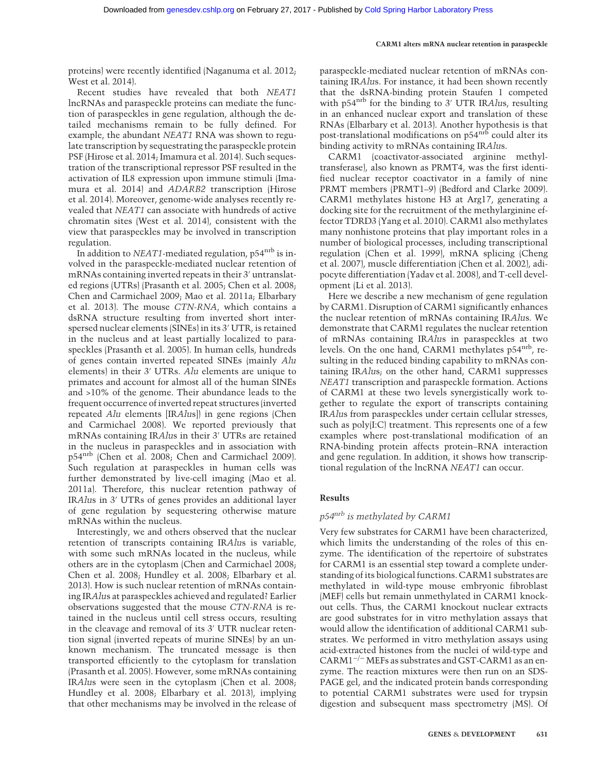proteins) were recently identified (Naganuma et al. 2012; West et al. 2014).

Recent studies have revealed that both NEAT1 lncRNAs and paraspeckle proteins can mediate the function of paraspeckles in gene regulation, although the detailed mechanisms remain to be fully defined. For example, the abundant NEAT1 RNA was shown to regulate transcription by sequestrating the paraspeckle protein PSF (Hirose et al. 2014; Imamura et al. 2014). Such sequestration of the transcriptional repressor PSF resulted in the activation of IL8 expression upon immune stimuli (Imamura et al. 2014) and ADARB2 transcription (Hirose et al. 2014). Moreover, genome-wide analyses recently revealed that NEAT1 can associate with hundreds of active chromatin sites (West et al. 2014), consistent with the view that paraspeckles may be involved in transcription regulation.

In addition to  $NEAT1$ -mediated regulation,  $p54<sup>nrb</sup>$  is involved in the paraspeckle-mediated nuclear retention of mRNAs containing inverted repeats in their 3′ untranslated regions (UTRs) (Prasanth et al. 2005; Chen et al. 2008; Chen and Carmichael 2009; Mao et al. 2011a; Elbarbary et al. 2013). The mouse CTN-RNA, which contains a dsRNA structure resulting from inverted short interspersed nuclear elements (SINEs) in its 3′ UTR, is retained in the nucleus and at least partially localized to paraspeckles (Prasanth et al. 2005). In human cells, hundreds of genes contain inverted repeated SINEs (mainly Alu elements) in their 3′ UTRs. Alu elements are unique to primates and account for almost all of the human SINEs and >10% of the genome. Their abundance leads to the frequent occurrence of inverted repeat structures (inverted repeated Alu elements [IRAlus]) in gene regions (Chen and Carmichael 2008). We reported previously that mRNAs containing IRAlus in their 3′ UTRs are retained in the nucleus in paraspeckles and in association with p54nrb (Chen et al. 2008; Chen and Carmichael 2009). Such regulation at paraspeckles in human cells was further demonstrated by live-cell imaging (Mao et al. 2011a). Therefore, this nuclear retention pathway of IRAlus in 3′ UTRs of genes provides an additional layer of gene regulation by sequestering otherwise mature mRNAs within the nucleus.

Interestingly, we and others observed that the nuclear retention of transcripts containing IRAlus is variable, with some such mRNAs located in the nucleus, while others are in the cytoplasm (Chen and Carmichael 2008; Chen et al. 2008; Hundley et al. 2008; Elbarbary et al. 2013). How is such nuclear retention of mRNAs containing IRAlus at paraspeckles achieved and regulated? Earlier observations suggested that the mouse CTN-RNA is retained in the nucleus until cell stress occurs, resulting in the cleavage and removal of its 3′ UTR nuclear retention signal (inverted repeats of murine SINEs) by an unknown mechanism. The truncated message is then transported efficiently to the cytoplasm for translation (Prasanth et al. 2005). However, some mRNAs containing IRAlus were seen in the cytoplasm (Chen et al. 2008; Hundley et al. 2008; Elbarbary et al. 2013), implying that other mechanisms may be involved in the release of

paraspeckle-mediated nuclear retention of mRNAs containing IRAlus. For instance, it had been shown recently that the dsRNA-binding protein Staufen 1 competed with p54<sup>nrb</sup> for the binding to 3<sup>'</sup> UTR IRAlus, resulting in an enhanced nuclear export and translation of these RNAs (Elbarbary et al. 2013). Another hypothesis is that post-translational modifications on p54<sup>nrb</sup> could alter its binding activity to mRNAs containing IRAlus.

CARM1 (coactivator-associated arginine methyltransferase), also known as PRMT4, was the first identified nuclear receptor coactivator in a family of nine PRMT members (PRMT1–9) (Bedford and Clarke 2009). CARM1 methylates histone H3 at Arg17, generating a docking site for the recruitment of the methylarginine effector TDRD3 (Yang et al. 2010). CARM1 also methylates many nonhistone proteins that play important roles in a number of biological processes, including transcriptional regulation (Chen et al. 1999), mRNA splicing (Cheng et al. 2007), muscle differentiation (Chen et al. 2002), adipocyte differentiation (Yadav et al. 2008), and T-cell development (Li et al. 2013).

Here we describe a new mechanism of gene regulation by CARM1. Disruption of CARM1 significantly enhances the nuclear retention of mRNAs containing IRAlus. We demonstrate that CARM1 regulates the nuclear retention of mRNAs containing IRAlus in paraspeckles at two levels. On the one hand, CARM1 methylates p54<sup>nrb</sup>, resulting in the reduced binding capability to mRNAs containing IRAlus; on the other hand, CARM1 suppresses NEAT1 transcription and paraspeckle formation. Actions of CARM1 at these two levels synergistically work together to regulate the export of transcripts containing IRAlus from paraspeckles under certain cellular stresses, such as poly(I:C) treatment. This represents one of a few examples where post-translational modification of an RNA-binding protein affects protein–RNA interaction and gene regulation. In addition, it shows how transcriptional regulation of the lncRNA NEAT1 can occur.

## Results

## p54nrb is methylated by CARM1

Very few substrates for CARM1 have been characterized, which limits the understanding of the roles of this enzyme. The identification of the repertoire of substrates for CARM1 is an essential step toward a complete understanding of its biological functions. CARM1 substrates are methylated in wild-type mouse embryonic fibroblast (MEF) cells but remain unmethylated in CARM1 knockout cells. Thus, the CARM1 knockout nuclear extracts are good substrates for in vitro methylation assays that would allow the identification of additional CARM1 substrates. We performed in vitro methylation assays using acid-extracted histones from the nuclei of wild-type and CARM1−/<sup>−</sup> MEFs as substrates and GST-CARM1 as an enzyme. The reaction mixtures were then run on an SDS-PAGE gel, and the indicated protein bands corresponding to potential CARM1 substrates were used for trypsin digestion and subsequent mass spectrometry (MS). Of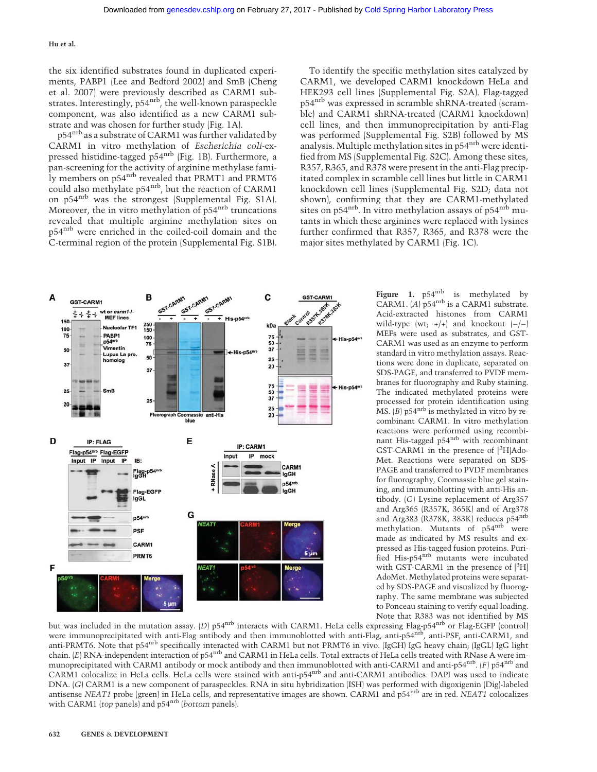the six identified substrates found in duplicated experiments, PABP1 (Lee and Bedford 2002) and SmB (Cheng et al. 2007) were previously described as CARM1 substrates. Interestingly, p54<sup>nrb</sup>, the well-known paraspeckle component, was also identified as a new CARM1 substrate and was chosen for further study (Fig. 1A).

p54<sup>nrb</sup> as a substrate of CARM1 was further validated by CARM1 in vitro methylation of Escherichia coli-expressed histidine-tagged p54nrb (Fig. 1B). Furthermore, a pan-screening for the activity of arginine methylase family members on p54<sup>nrb</sup> revealed that PRMT1 and PRMT6 could also methylate p54nrb, but the reaction of CARM1 on p54nrb was the strongest (Supplemental Fig. S1A). Moreover, the in vitro methylation of p54<sup>nrb</sup> truncations revealed that multiple arginine methylation sites on p54nrb were enriched in the coiled-coil domain and the C-terminal region of the protein (Supplemental Fig. S1B).

To identify the specific methylation sites catalyzed by CARM1, we developed CARM1 knockdown HeLa and HEK293 cell lines (Supplemental Fig. S2A). Flag-tagged p54<sup>nrb</sup> was expressed in scramble shRNA-treated (scramble) and CARM1 shRNA-treated (CARM1 knockdown) cell lines, and then immunoprecipitation by anti-Flag was performed (Supplemental Fig. S2B) followed by MS analysis. Multiple methylation sites in p54<sup>nrb</sup> were identified from MS (Supplemental Fig. S2C). Among these sites, R357, R365, and R378 were present in the anti-Flag precipitated complex in scramble cell lines but little in CARM1 knockdown cell lines (Supplemental Fig. S2D; data not shown), confirming that they are CARM1-methylated sites on  $p54<sup>nrb</sup>$ . In vitro methylation assays of  $p54<sup>nrb</sup>$  mutants in which these arginines were replaced with lysines further confirmed that R357, R365, and R378 were the major sites methylated by CARM1 (Fig. 1C).



Figure 1. p54<sup>nrb</sup> is methylated by CARM1.  $(A)$  p54<sup>nrb</sup> is a CARM1 substrate. Acid-extracted histones from CARM1 wild-type (wt;  $+/-$ ) and knockout  $(-/-)$ MEFs were used as substrates, and GST-CARM1 was used as an enzyme to perform standard in vitro methylation assays. Reactions were done in duplicate, separated on SDS-PAGE, and transferred to PVDF membranes for fluorography and Ruby staining. The indicated methylated proteins were processed for protein identification using MS.  $(B)$  p54<sup>nrb</sup> is methylated in vitro by recombinant CARM1. In vitro methylation reactions were performed using recombinant His-tagged p54nrb with recombinant GST-CARM1 in the presence of [3H]Ado-Met. Reactions were separated on SDS-PAGE and transferred to PVDF membranes for fluorography, Coomassie blue gel staining, and immunoblotting with anti-His antibody. (C) Lysine replacement of Arg357 and Arg365 (R357K, 365K) and of Arg378 and Arg383 (R378K, 383K) reduces p54nrb methylation. Mutants of p54<sup>nrb</sup> were made as indicated by MS results and expressed as His-tagged fusion proteins. Purified His-p54nrb mutants were incubated with GST-CARM1 in the presence of  $[{}^{3}H]$ AdoMet. Methylated proteins were separated by SDS-PAGE and visualized by fluorography. The same membrane was subjected to Ponceau staining to verify equal loading. Note that R383 was not identified by MS

but was included in the mutation assay. (D) p54<sup>nrb</sup> interacts with CARM1. HeLa cells expressing Flag-p54<sup>nrb</sup> or Flag-EGFP (control) were immunoprecipitated with anti-Flag antibody and then immunoblotted with anti-Flag, anti-p54<sup>nrb</sup>, anti-PSF, anti-CARM1, and anti-PRMT6. Note that p54nrb specifically interacted with CARM1 but not PRMT6 in vivo. (IgGH) IgG heavy chain; (IgGL) IgG light chain. (E) RNA-independent interaction of p54<sup>nrb</sup> and CARM1 in HeLa cells. Total extracts of HeLa cells treated with RNase A were immunoprecipitated with CARM1 antibody or mock antibody and then immunoblotted with anti-CARM1 and anti-p54<sup>nrb</sup>. (F) p54<sup>nrb</sup> and CARM1 colocalize in HeLa cells. HeLa cells were stained with anti-p54nrb and anti-CARM1 antibodies. DAPI was used to indicate DNA. (G) CARM1 is a new component of paraspeckles. RNA in situ hybridization (ISH) was performed with digoxigenin (Dig)-labeled antisense NEAT1 probe (green) in HeLa cells, and representative images are shown. CARM1 and p54nrb are in red. NEAT1 colocalizes with CARM1 (top panels) and p54<sup>nrb</sup> (bottom panels).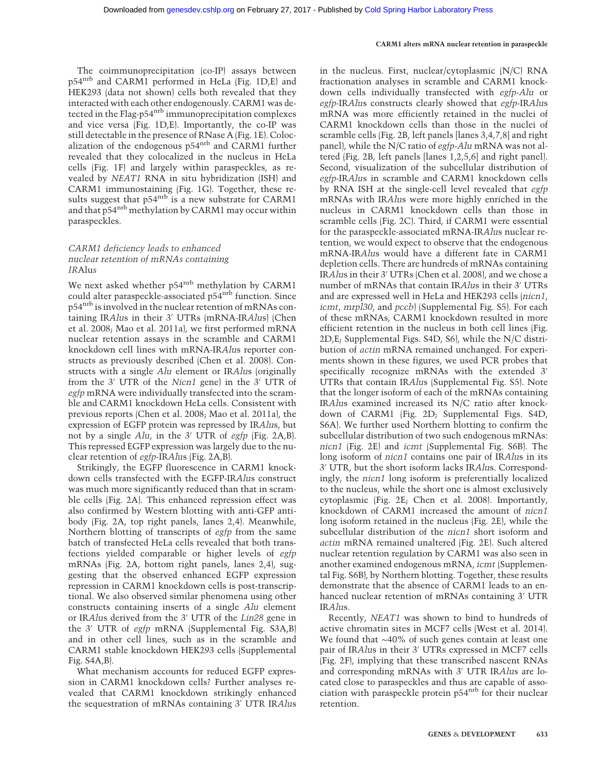The coimmunoprecipitation (co-IP) assays between p54nrb and CARM1 performed in HeLa (Fig. 1D,E) and HEK293 (data not shown) cells both revealed that they interacted with each other endogenously. CARM1 was detected in the Flag-p54<sup>nrb</sup> immunoprecipitation complexes and vice versa (Fig. 1D,E). Importantly, the co-IP was still detectable in the presence of RNase A (Fig. 1E). Colocalization of the endogenous p54<sup>nrb</sup> and CARM1 further revealed that they colocalized in the nucleus in HeLa cells (Fig. 1F) and largely within paraspeckles, as revealed by NEAT1 RNA in situ hybridization (ISH) and CARM1 immunostaining (Fig. 1G). Together, these results suggest that  $p54^{nrb}$  is a new substrate for CARM1 and that p54<sup>nrb</sup> methylation by CARM1 may occur within paraspeckles.

## CARM1 deficiency leads to enhanced nuclear retention of mRNAs containing IRAlus

We next asked whether p54<sup>nrb</sup> methylation by CARM1 could alter paraspeckle-associated p54<sup>nrb</sup> function. Since p54nrb is involved in the nuclear retention of mRNAs containing IRAlus in their 3′ UTRs (mRNA-IRAlus) (Chen et al. 2008; Mao et al. 2011a), we first performed mRNA nuclear retention assays in the scramble and CARM1 knockdown cell lines with mRNA-IRAlus reporter constructs as previously described (Chen et al. 2008). Constructs with a single Alu element or IRAlus (originally from the 3′ UTR of the Nicn1 gene) in the 3′ UTR of egfp mRNA were individually transfected into the scramble and CARM1 knockdown HeLa cells. Consistent with previous reports (Chen et al. 2008; Mao et al. 2011a), the expression of EGFP protein was repressed by IRAlus, but not by a single Alu, in the 3′ UTR of egfp (Fig. 2A,B). This repressed EGFP expression was largely due to the nuclear retention of egfp-IRAlus (Fig. 2A,B).

Strikingly, the EGFP fluorescence in CARM1 knockdown cells transfected with the EGFP-IRAlus construct was much more significantly reduced than that in scramble cells (Fig. 2A). This enhanced repression effect was also confirmed by Western blotting with anti-GFP antibody (Fig. 2A, top right panels, lanes 2,4). Meanwhile, Northern blotting of transcripts of egfp from the same batch of transfected HeLa cells revealed that both transfections yielded comparable or higher levels of egfp mRNAs (Fig. 2A, bottom right panels, lanes 2,4), suggesting that the observed enhanced EGFP expression repression in CARM1 knockdown cells is post-transcriptional. We also observed similar phenomena using other constructs containing inserts of a single Alu element or IRAlus derived from the 3′ UTR of the Lin28 gene in the 3′ UTR of egfp mRNA (Supplemental Fig. S3A,B) and in other cell lines, such as in the scramble and CARM1 stable knockdown HEK293 cells (Supplemental Fig. S4A,B).

What mechanism accounts for reduced EGFP expression in CARM1 knockdown cells? Further analyses revealed that CARM1 knockdown strikingly enhanced the sequestration of mRNAs containing 3′ UTR IRAlus

in the nucleus. First, nuclear/cytoplasmic (N/C) RNA fractionation analyses in scramble and CARM1 knockdown cells individually transfected with egfp-Alu or egfp-IRAlus constructs clearly showed that egfp-IRAlus mRNA was more efficiently retained in the nuclei of CARM1 knockdown cells than those in the nuclei of scramble cells (Fig. 2B, left panels [lanes 3,4,7,8] and right panel), while the N/C ratio of egfp-Alu mRNA was not altered (Fig. 2B, left panels [lanes 1,2,5,6] and right panel). Second, visualization of the subcellular distribution of egfp-IRAlus in scramble and CARM1 knockdown cells by RNA ISH at the single-cell level revealed that egfp mRNAs with IRAlus were more highly enriched in the nucleus in CARM1 knockdown cells than those in scramble cells (Fig. 2C). Third, if CARM1 were essential for the paraspeckle-associated mRNA-IRAlus nuclear retention, we would expect to observe that the endogenous mRNA-IRAlus would have a different fate in CARM1 depletion cells. There are hundreds of mRNAs containing IRAlus in their 3′ UTRs (Chen et al. 2008), and we chose a number of mRNAs that contain IRAlus in their 3′ UTRs and are expressed well in HeLa and HEK293 cells (nicn1, icmt, mrpl30, and pccb) (Supplemental Fig. S5). For each of these mRNAs, CARM1 knockdown resulted in more efficient retention in the nucleus in both cell lines (Fig. 2D,E; Supplemental Figs. S4D, S6), while the N/C distribution of actin mRNA remained unchanged. For experiments shown in these figures, we used PCR probes that specifically recognize mRNAs with the extended 3' UTRs that contain IRAlus (Supplemental Fig. S5). Note that the longer isoform of each of the mRNAs containing IRAlus examined increased its N/C ratio after knockdown of CARM1 (Fig. 2D; Supplemental Figs. S4D, S6A). We further used Northern blotting to confirm the subcellular distribution of two such endogenous mRNAs: nicn1 (Fig. 2E) and icmt (Supplemental Fig. S6B). The long isoform of *nicn1* contains one pair of IRAlus in its 3′ UTR, but the short isoform lacks IRAlus. Correspondingly, the nicn1 long isoform is preferentially localized to the nucleus, while the short one is almost exclusively cytoplasmic (Fig. 2E; Chen et al. 2008). Importantly, knockdown of CARM1 increased the amount of nicn1 long isoform retained in the nucleus (Fig. 2E), while the subcellular distribution of the *nicn1* short isoform and actin mRNA remained unaltered (Fig. 2E). Such altered nuclear retention regulation by CARM1 was also seen in another examined endogenous mRNA, icmt (Supplemental Fig. S6B), by Northern blotting. Together, these results demonstrate that the absence of CARM1 leads to an enhanced nuclear retention of mRNAs containing 3′ UTR IRAlus.

Recently, NEAT1 was shown to bind to hundreds of active chromatin sites in MCF7 cells (West et al. 2014). We found that ∼40% of such genes contain at least one pair of IRAlus in their 3′ UTRs expressed in MCF7 cells (Fig. 2F), implying that these transcribed nascent RNAs and corresponding mRNAs with 3′ UTR IRAlus are located close to paraspeckles and thus are capable of association with paraspeckle protein  $p54^{nrb}$  for their nuclear retention.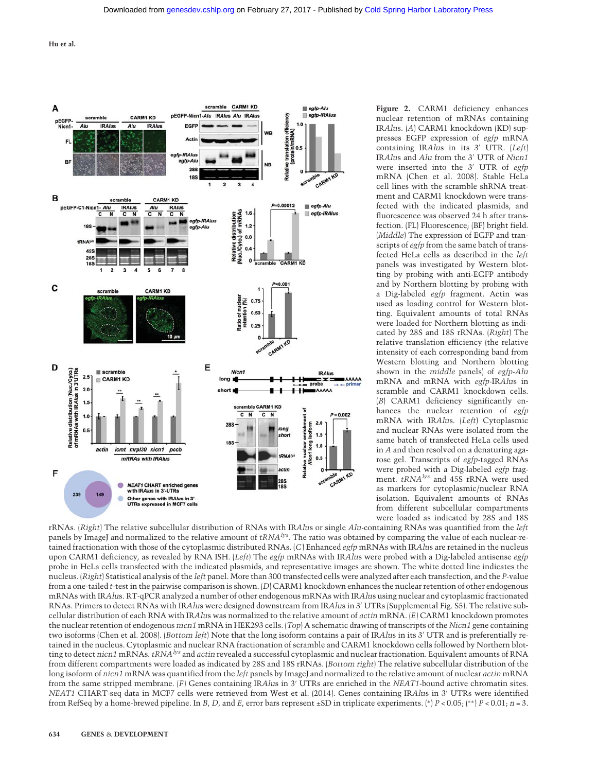

Figure 2. CARM1 deficiency enhances nuclear retention of mRNAs containing IRAlus. (A) CARM1 knockdown (KD) suppresses EGFP expression of egfp mRNA containing IRAlus in its 3′ UTR. (Left) IRAlus and Alu from the 3′ UTR of Nicn1 were inserted into the 3' UTR of egfp mRNA (Chen et al. 2008). Stable HeLa cell lines with the scramble shRNA treatment and CARM1 knockdown were transfected with the indicated plasmids, and fluorescence was observed 24 h after transfection. (FL) Fluorescence; (BF) bright field. (Middle) The expression of EGFP and transcripts of egfp from the same batch of transfected HeLa cells as described in the left panels was investigated by Western blotting by probing with anti-EGFP antibody and by Northern blotting by probing with a Dig-labeled egfp fragment. Actin was used as loading control for Western blotting. Equivalent amounts of total RNAs were loaded for Northern blotting as indicated by 28S and 18S rRNAs. (Right) The relative translation efficiency (the relative intensity of each corresponding band from Western blotting and Northern blotting shown in the middle panels) of egfp-Alu mRNA and mRNA with egfp-IRAlus in scramble and CARM1 knockdown cells. (B) CARM1 deficiency significantly enhances the nuclear retention of egfp mRNA with IRAlus. (Left) Cytoplasmic and nuclear RNAs were isolated from the same batch of transfected HeLa cells used in A and then resolved on a denaturing agarose gel. Transcripts of egfp-tagged RNAs were probed with a Dig-labeled egfp fragment.  $tRNA<sup>lys</sup>$  and 45S rRNA were used as markers for cytoplasmic/nuclear RNA isolation. Equivalent amounts of RNAs from different subcellular compartments were loaded as indicated by 28S and 18S

rRNAs. (Right) The relative subcellular distribution of RNAs with IRAlus or single Alu-containing RNAs was quantified from the left panels by ImageJ and normalized to the relative amount of  $tRNA<sup>lys</sup>$ . The ratio was obtained by comparing the value of each nuclear-retained fractionation with those of the cytoplasmic distributed RNAs. (C) Enhanced egfp mRNAs with IRAlus are retained in the nucleus upon CARM1 deficiency, as revealed by RNA ISH. (Left) The egfp mRNAs with IRAlus were probed with a Dig-labeled antisense egfp probe in HeLa cells transfected with the indicated plasmids, and representative images are shown. The white dotted line indicates the nucleus. (Right) Statistical analysis of the left panel. More than 300 transfected cells were analyzed after each transfection, and the P-value from a one-tailed t-test in the pairwise comparison is shown. (D) CARM1 knockdown enhances the nuclear retention of other endogenous mRNAs with IRAlus. RT-qPCR analyzed a number of other endogenous mRNAs with IRAlus using nuclear and cytoplasmic fractionated RNAs. Primers to detect RNAs with IRAlus were designed downstream from IRAlus in 3′ UTRs (Supplemental Fig. S5). The relative subcellular distribution of each RNA with IRAlus was normalized to the relative amount of actin mRNA. (E) CARM1 knockdown promotes the nuclear retention of endogenous nicn1 mRNA in HEK293 cells. (Top) A schematic drawing of transcripts of the Nicn1 gene containing two isoforms (Chen et al. 2008). (Bottom left) Note that the long isoform contains a pair of IRAlus in its 3' UTR and is preferentially retained in the nucleus. Cytoplasmic and nuclear RNA fractionation of scramble and CARM1 knockdown cells followed by Northern blotting to detect nicn1 mRNAs. tRNA<sup>lys</sup> and actin revealed a successful cytoplasmic and nuclear fractionation. Equivalent amounts of RNA from different compartments were loaded as indicated by 28S and 18S rRNAs. (Bottom right) The relative subcellular distribution of the long isoform of nicn1 mRNA was quantified from the left panels by ImageJ and normalized to the relative amount of nuclear actin mRNA from the same stripped membrane. (F) Genes containing IRAlus in 3' UTRs are enriched in the NEAT1-bound active chromatin sites. NEAT1 CHART-seq data in MCF7 cells were retrieved from West et al. (2014). Genes containing IRAlus in 3′ UTRs were identified from RefSeq by a home-brewed pipeline. In B, D, and E, error bars represent ±SD in triplicate experiments. (\*)  $P < 0.05$ ; (\*\*)  $P < 0.01$ ;  $n = 3$ .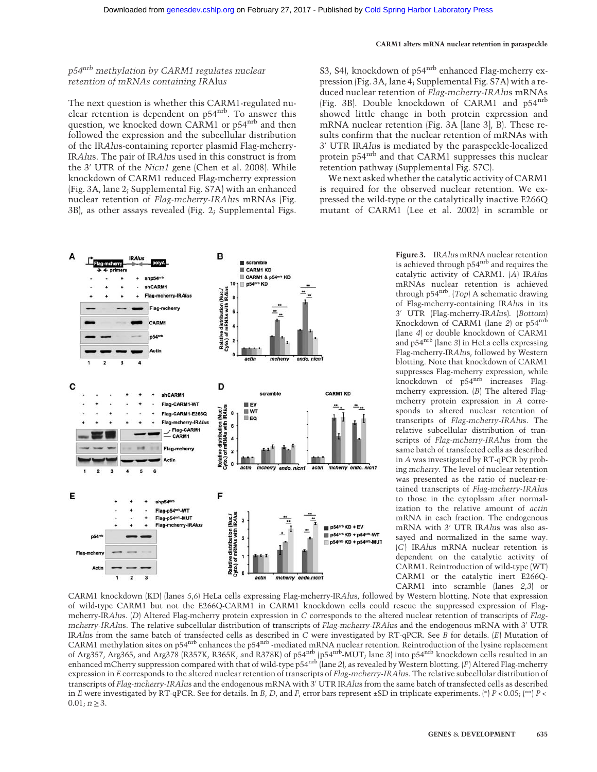S3, S4), knockdown of p54<sup>nrb</sup> enhanced Flag-mcherry expression (Fig. 3A, lane 4; Supplemental Fig. S7A) with a reduced nuclear retention of Flag-mcherry-IRAlus mRNAs (Fig. 3B). Double knockdown of CARM1 and p54nrb showed little change in both protein expression and mRNA nuclear retention (Fig. 3A [lane 3], B). These results confirm that the nuclear retention of mRNAs with 3′ UTR IRAlus is mediated by the paraspeckle-localized protein p54<sup>nrb</sup> and that CARM1 suppresses this nuclear

We next asked whether the catalytic activity of CARM1

retention pathway (Supplemental Fig. S7C).

## p54nrb methylation by CARM1 regulates nuclear retention of mRNAs containing IRAlus

The next question is whether this CARM1-regulated nuclear retention is dependent on p54<sup>nrb</sup>. To answer this question, we knocked down CARM1 or p54<sup>nrb</sup> and then followed the expression and the subcellular distribution of the IRAlus-containing reporter plasmid Flag-mcherry-IRAlus. The pair of IRAlus used in this construct is from the 3′ UTR of the Nicn1 gene (Chen et al. 2008). While knockdown of CARM1 reduced Flag-mcherry expression (Fig. 3A, lane 2; Supplemental Fig. S7A) with an enhanced nuclear retention of Flag-mcherry-IRAlus mRNAs (Fig. 3B), as other assays revealed (Fig. 2; Supplemental Figs.



is required for the observed nuclear retention. We expressed the wild-type or the catalytically inactive E266Q mutant of CARM1 (Lee et al. 2002) in scramble or Figure 3. IRAlus mRNA nuclear retention is achieved through p54nrb and requires the catalytic activity of CARM1. (A) IRAlus mRNAs nuclear retention is achieved through p54 $nrb}$ . (Top) A schematic drawing of Flag-mcherry-containing IRAlus in its 3′ UTR (Flag-mcherry-IRAlus). (Bottom) Knockdown of CARM1 (lane 2) or p54nrb (lane 4) or double knockdown of CARM1 and p54nrb (lane 3) in HeLa cells expressing Flag-mcherry-IRAlus, followed by Western blotting. Note that knockdown of CARM1 suppresses Flag-mcherry expression, while knockdown of p54<sup>nrb</sup> increases Flagmcherry expression. (B) The altered Flag-

mcherry protein expression in A corresponds to altered nuclear retention of transcripts of Flag-mcherry-IRAlus. The relative subcellular distribution of transcripts of Flag-mcherry-IRAlus from the same batch of transfected cells as described in A was investigated by RT-qPCR by probing mcherry. The level of nuclear retention was presented as the ratio of nuclear-retained transcripts of Flag-mcherry-IRAlus to those in the cytoplasm after normalization to the relative amount of actin mRNA in each fraction. The endogenous mRNA with 3′ UTR IRAlus was also assayed and normalized in the same way. (C) IRAlus mRNA nuclear retention is dependent on the catalytic activity of CARM1. Reintroduction of wild-type (WT) CARM1 or the catalytic inert E266Q-CARM1 into scramble (lanes 2,3) or

CARM1 knockdown (KD) (lanes 5,6) HeLa cells expressing Flag-mcherry-IRAlus, followed by Western blotting. Note that expression of wild-type CARM1 but not the E266Q-CARM1 in CARM1 knockdown cells could rescue the suppressed expression of Flagmcherry-IRAlus. (D) Altered Flag-mcherry protein expression in C corresponds to the altered nuclear retention of transcripts of Flagmcherry-IRAlus. The relative subcellular distribution of transcripts of Flag-mcherry-IRAlus and the endogenous mRNA with 3′ UTR IRAlus from the same batch of transfected cells as described in C were investigated by RT-qPCR. See B for details. (E) Mutation of CARM1 methylation sites on p54nrb enhances the p54nrb -mediated mRNA nuclear retention. Reintroduction of the lysine replacement of Arg357, Arg365, and Arg378 (R357K, R365K, and R378K) of p54nrb (p54nrb-MUT; lane 3) into p54nrb knockdown cells resulted in an enhanced mCherry suppression compared with that of wild-type p54<sup>nrb</sup> (lane 2), as revealed by Western blotting. (F) Altered Flag-mcherry expression in E corresponds to the altered nuclear retention of transcripts of Flag-mcherry-IRAlus. The relative subcellular distribution of transcripts of Flag-mcherry-IRAlus and the endogenous mRNA with 3′ UTR IRAlus from the same batch of transfected cells as described in E were investigated by RT-qPCR. See for details. In B, D, and F, error bars represent ±SD in triplicate experiments. (\*)  $P < 0.05$ ; (\*\*)  $P < 0.05$ ;  $0.01; n \ge 3.$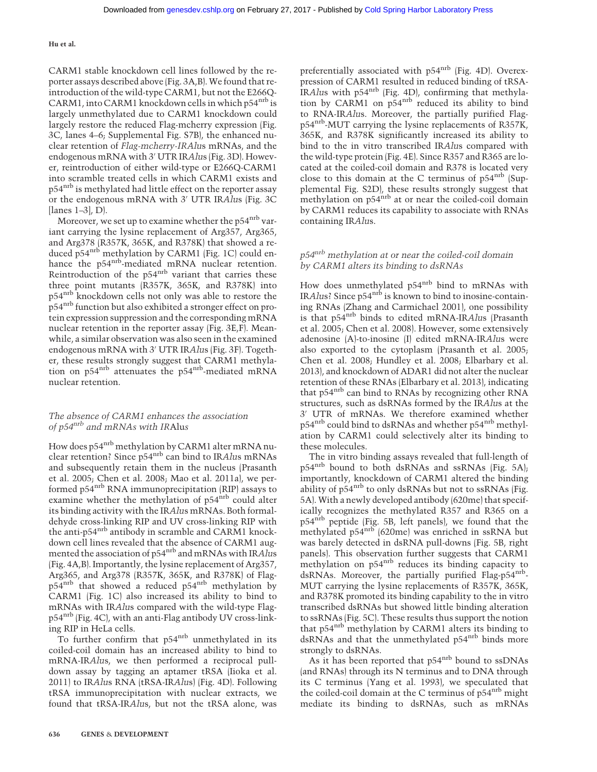CARM1 stable knockdown cell lines followed by the reporter assays described above (Fig. 3A,B). We found that reintroduction of the wild-type CARM1, but not the E266Q-CARM1, into CARM1 knockdown cells in which  $p54^{nrb}$  is largely unmethylated due to CARM1 knockdown could largely restore the reduced Flag-mcherry expression (Fig. 3C, lanes 4–6; Supplemental Fig. S7B), the enhanced nuclear retention of Flag-mcherry-IRAlus mRNAs, and the endogenous mRNA with 3′ UTR IRAlus (Fig. 3D). However, reintroduction of either wild-type or E266Q-CARM1 into scramble treated cells in which CARM1 exists and p54nrb is methylated had little effect on the reporter assay or the endogenous mRNA with 3′ UTR IRAlus (Fig. 3C [lanes 1–3], D).

Moreover, we set up to examine whether the p54<sup>nrb</sup> variant carrying the lysine replacement of Arg357, Arg365, and Arg378 (R357K, 365K, and R378K) that showed a reduced p54<sup>nrb</sup> methylation by CARM1 (Fig. 1C) could enhance the p54<sup>nrb</sup>-mediated mRNA nuclear retention. Reintroduction of the p54<sup>nrb</sup> variant that carries these three point mutants (R357K, 365K, and R378K) into p54<sup>nrb</sup> knockdown cells not only was able to restore the p54nrb function but also exhibited a stronger effect on protein expression suppression and the corresponding mRNA nuclear retention in the reporter assay (Fig. 3E,F). Meanwhile, a similar observation was also seen in the examined endogenous mRNA with 3′ UTR IRAlus (Fig. 3F). Together, these results strongly suggest that CARM1 methylation on  $p54$ <sup>nrb</sup> attenuates the  $p54$ <sup>nrb</sup>-mediated mRNA nuclear retention.

## The absence of CARM1 enhances the association of  $p54^{nrb}$  and mRNAs with IRAlus

How does p54nrb methylation by CARM1 alter mRNA nuclear retention? Since p54<sup>nrb</sup> can bind to IRAlus mRNAs and subsequently retain them in the nucleus (Prasanth et al. 2005; Chen et al. 2008; Mao et al. 2011a), we performed p54nrb RNA immunoprecipitation (RIP) assays to examine whether the methylation of p54<sup>nrb</sup> could alter its binding activity with the IRAlus mRNAs. Both formaldehyde cross-linking RIP and UV cross-linking RIP with the anti-p54<sup>nrb</sup> antibody in scramble and CARM1 knockdown cell lines revealed that the absence of CARM1 augmented the association of p54<sup>nrb</sup> and mRNAs with IRAlus (Fig. 4A,B). Importantly, the lysine replacement of Arg357, Arg365, and Arg378 (R357K, 365K, and R378K) of Flagp54nrb that showed a reduced p54nrb methylation by CARM1 (Fig. 1C) also increased its ability to bind to mRNAs with IRAlus compared with the wild-type Flagp54nrb (Fig. 4C), with an anti-Flag antibody UV cross-linking RIP in HeLa cells.

To further confirm that p54<sup>nrb</sup> unmethylated in its coiled-coil domain has an increased ability to bind to mRNA-IRAlus, we then performed a reciprocal pulldown assay by tagging an aptamer tRSA (Iioka et al. 2011) to IRAlus RNA (tRSA-IRAlus) (Fig. 4D). Following tRSA immunoprecipitation with nuclear extracts, we found that tRSA-IRAlus, but not the tRSA alone, was

preferentially associated with p54<sup>nrb</sup> (Fig. 4D). Overexpression of CARM1 resulted in reduced binding of tRSA-IRAlus with p54nrb (Fig. 4D), confirming that methylation by CARM1 on  $p54^{nrb}$  reduced its ability to bind to RNA-IRAlus. Moreover, the partially purified Flagp54<sup>nrb</sup>-MUT carrying the lysine replacements of R357K, 365K, and R378K significantly increased its ability to bind to the in vitro transcribed IRAlus compared with the wild-type protein (Fig. 4E). Since R357 and R365 are located at the coiled-coil domain and R378 is located very close to this domain at the C terminus of  $p54^{nrb}$  (Supplemental Fig. S2D), these results strongly suggest that methylation on  $p54$ <sup>nrb</sup> at or near the coiled-coil domain by CARM1 reduces its capability to associate with RNAs containing IRAlus.

## p54nrb methylation at or near the coiled-coil domain by CARM1 alters its binding to dsRNAs

How does unmethylated p54<sup>nrb</sup> bind to mRNAs with IRAlus? Since p54<sup>nrb</sup> is known to bind to inosine-containing RNAs (Zhang and Carmichael 2001), one possibility is that p54<sup>nrb</sup> binds to edited mRNA-IRAlus (Prasanth et al. 2005; Chen et al. 2008). However, some extensively adenosine (A)-to-inosine (I) edited mRNA-IRAlus were also exported to the cytoplasm (Prasanth et al. 2005; Chen et al. 2008; Hundley et al. 2008; Elbarbary et al. 2013), and knockdown of ADAR1 did not alter the nuclear retention of these RNAs (Elbarbary et al. 2013), indicating that  $p54^{nrb}$  can bind to RNAs by recognizing other RNA structures, such as dsRNAs formed by the IRAlus at the 3′ UTR of mRNAs. We therefore examined whether p54nrb could bind to dsRNAs and whether p54nrb methylation by CARM1 could selectively alter its binding to these molecules.

The in vitro binding assays revealed that full-length of  $p54<sup>nrb</sup>$  bound to both dsRNAs and ssRNAs (Fig. 5A); importantly, knockdown of CARM1 altered the binding ability of  $p54<sup>nrb</sup>$  to only dsRNAs but not to ssRNAs (Fig. 5A). With a newly developed antibody (620me) that specifically recognizes the methylated R357 and R365 on a p54<sup>nrb</sup> peptide (Fig. 5B, left panels), we found that the methylated p54<sup>nrb</sup> (620me) was enriched in ssRNA but was barely detected in dsRNA pull-downs (Fig. 5B, right panels). This observation further suggests that CARM1 methylation on p54<sup>nrb</sup> reduces its binding capacity to dsRNAs. Moreover, the partially purified  $Flag$ -p54 $m$ <sup>b</sup>-MUT carrying the lysine replacements of R357K, 365K, and R378K promoted its binding capability to the in vitro transcribed dsRNAs but showed little binding alteration to ssRNAs (Fig. 5C). These results thus support the notion that p54<sup>nrb</sup> methylation by CARM1 alters its binding to dsRNAs and that the unmethylated p54<sup>nrb</sup> binds more strongly to dsRNAs.

As it has been reported that p54<sup>nrb</sup> bound to ssDNAs (and RNAs) through its N terminus and to DNA through its C terminus (Yang et al. 1993), we speculated that the coiled-coil domain at the C terminus of p54<sup>nrb</sup> might mediate its binding to dsRNAs, such as mRNAs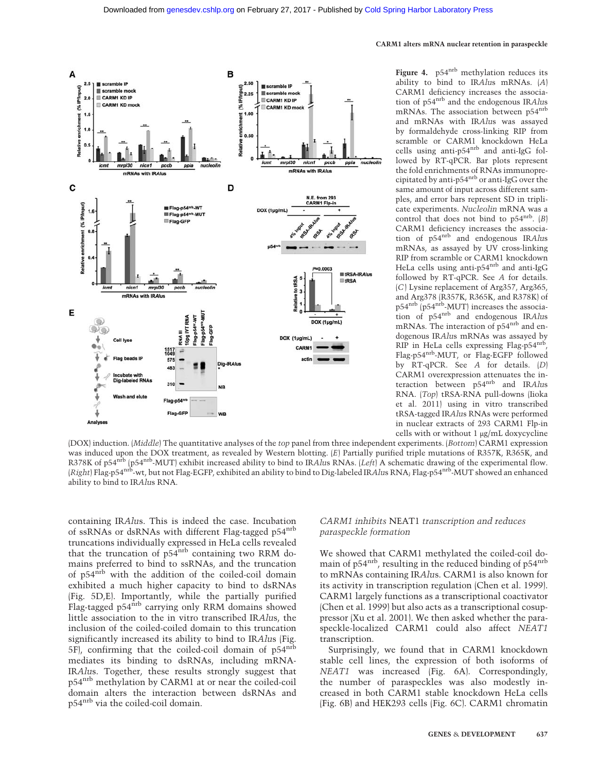

Figure 4.  $p54^{nrb}$  methylation reduces its ability to bind to IRAlus mRNAs. (A) CARM1 deficiency increases the association of p54nrb and the endogenous IRAlus mRNAs. The association between p54nrb and mRNAs with IRAlus was assayed by formaldehyde cross-linking RIP from scramble or CARM1 knockdown HeLa cells using anti-p54nrb and anti-IgG followed by RT-qPCR. Bar plots represent the fold enrichments of RNAs immunoprecipitated by anti-p54nrb or anti-IgG over the same amount of input across different samples, and error bars represent SD in triplicate experiments. Nucleolin mRNA was a control that does not bind to  $p54^{nrb}$ . (B) CARM1 deficiency increases the association of p54<sup>nrb</sup> and endogenous IRAlus mRNAs, as assayed by UV cross-linking RIP from scramble or CARM1 knockdown HeLa cells using anti-p54<sup>nrb</sup> and anti-IgG followed by RT-qPCR. See A for details. (C) Lysine replacement of Arg357, Arg365, and Arg378 (R357K, R365K, and R378K) of p54nrb (p54nrb-MUT) increases the association of p54nrb and endogenous IRAlus mRNAs. The interaction of p54<sup>nrb</sup> and endogenous IRAlus mRNAs was assayed by RIP in HeLa cells expressing Flag-p54nrb, Flag-p54nrb-MUT, or Flag-EGFP followed by RT-qPCR. See A for details. (D) CARM1 overexpression attenuates the interaction between p54<sup>nrb</sup> and IRAlus RNA. (Top) tRSA-RNA pull-downs (Iioka et al. 2011) using in vitro transcribed tRSA-tagged IRAlus RNAs were performed in nuclear extracts of 293 CARM1 Flp-in cells with or without 1 μg/mL doxycycline

(DOX) induction. (Middle) The quantitative analyses of the top panel from three independent experiments. (Bottom) CARM1 expression was induced upon the DOX treatment, as revealed by Western blotting. (E) Partially purified triple mutations of R357K, R365K, and R378K of p54<sup>nrb</sup> (p54<sup>nrb</sup>-MUT) exhibit increased ability to bind to IRAlus RNAs. (Left) A schematic drawing of the experimental flow. (Right) Flag-p54<sup>nrb</sup>-wt, but not Flag-EGFP, exhibited an ability to bind to Dig-labeled IRAlus RNA; Flag-p54<sup>nrb</sup>-MUT showed an enhanced ability to bind to IRAlus RNA.

containing IRAlus. This is indeed the case. Incubation of ssRNAs or dsRNAs with different Flag-tagged p54<sup>nrb</sup> truncations individually expressed in HeLa cells revealed that the truncation of p54<sup>nrb</sup> containing two RRM domains preferred to bind to ssRNAs, and the truncation of p54nrb with the addition of the coiled-coil domain exhibited a much higher capacity to bind to dsRNAs (Fig. 5D,E). Importantly, while the partially purified Flag-tagged p54<sup>nrb</sup> carrying only RRM domains showed little association to the in vitro transcribed IRAlus, the inclusion of the coiled-coiled domain to this truncation significantly increased its ability to bind to IRAlus (Fig.  $5F$ , confirming that the coiled-coil domain of  $p54<sup>nrb</sup>$ mediates its binding to dsRNAs, including mRNA-IRAlus. Together, these results strongly suggest that p54nrb methylation by CARM1 at or near the coiled-coil domain alters the interaction between dsRNAs and p54nrb via the coiled-coil domain.

#### CARM1 inhibits NEAT1 transcription and reduces paraspeckle formation

We showed that CARM1 methylated the coiled-coil domain of p54<sup>nrb</sup>, resulting in the reduced binding of p54<sup>nrb</sup> to mRNAs containing IRAlus. CARM1 is also known for its activity in transcription regulation (Chen et al. 1999). CARM1 largely functions as a transcriptional coactivator (Chen et al. 1999) but also acts as a transcriptional cosuppressor (Xu et al. 2001). We then asked whether the paraspeckle-localized CARM1 could also affect NEAT1 transcription.

Surprisingly, we found that in CARM1 knockdown stable cell lines, the expression of both isoforms of NEAT1 was increased (Fig. 6A). Correspondingly, the number of paraspeckles was also modestly increased in both CARM1 stable knockdown HeLa cells (Fig. 6B) and HEK293 cells (Fig. 6C). CARM1 chromatin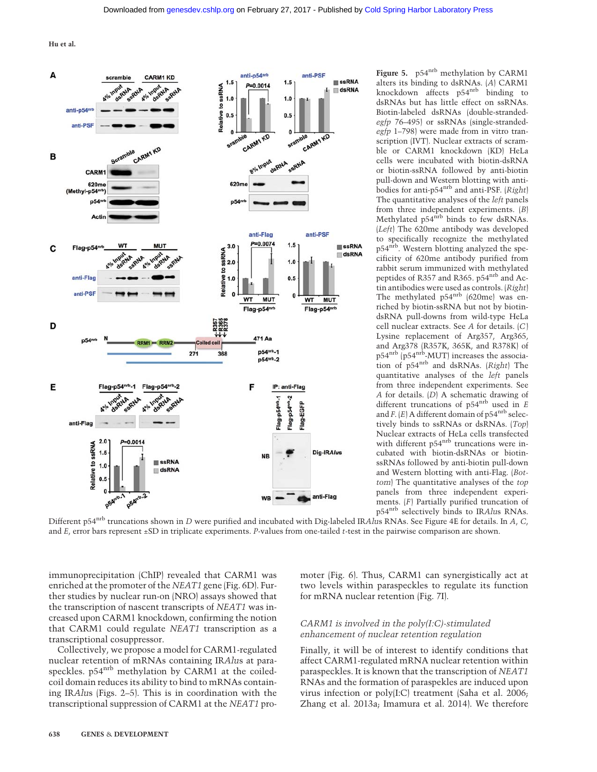

Figure 5. p54<sup>nrb</sup> methylation by CARM1 alters its binding to dsRNAs. (A) CARM1 knockdown affects p54<sup>nrb</sup> binding to dsRNAs but has little effect on ssRNAs. Biotin-labeled dsRNAs (double-strandedegfp 76–495) or ssRNAs (single-strandedegfp 1–798) were made from in vitro transcription (IVT). Nuclear extracts of scramble or CARM1 knockdown (KD) HeLa cells were incubated with biotin-dsRNA or biotin-ssRNA followed by anti-biotin pull-down and Western blotting with antibodies for anti-p54<sup>nrb</sup> and anti-PSF. (Right) The quantitative analyses of the left panels from three independent experiments. (B) Methylated p54<sup>nrb</sup> binds to few dsRNAs. (Left) The 620me antibody was developed to specifically recognize the methylated p54nrb. Western blotting analyzed the specificity of 620me antibody purified from rabbit serum immunized with methylated peptides of R357 and R365. p54nrb and Actin antibodies were used as controls. (Right) The methylated p54<sup>nrb</sup> (620me) was enriched by biotin-ssRNA but not by biotindsRNA pull-downs from wild-type HeLa cell nuclear extracts. See A for details. (C) Lysine replacement of Arg357, Arg365, and Arg378 (R357K, 365K, and R378K) of p54nrb (p54nrb-MUT) increases the association of p54nrb and dsRNAs. (Right) The quantitative analyses of the left panels from three independent experiments. See A for details. (D) A schematic drawing of different truncations of  $p54^{nrb}$  used in E and  $F$ .  $(E)$  A different domain of p54<sup>nrb</sup> selectively binds to ssRNAs or dsRNAs. (Top) Nuclear extracts of HeLa cells transfected with different p54<sup>nrb</sup> truncations were incubated with biotin-dsRNAs or biotinssRNAs followed by anti-biotin pull-down and Western blotting with anti-Flag. (Bottom) The quantitative analyses of the top panels from three independent experiments. (F) Partially purified truncation of p54nrb selectively binds to IRAlus RNAs.

Different p54<sup>nrb</sup> truncations shown in D were purified and incubated with Dig-labeled IRAlus RNAs. See Figure 4E for details. In A, C, and E, error bars represent ±SD in triplicate experiments. P-values from one-tailed t-test in the pairwise comparison are shown.

immunoprecipitation (ChIP) revealed that CARM1 was enriched at the promoter of the NEAT1 gene (Fig. 6D). Further studies by nuclear run-on (NRO) assays showed that the transcription of nascent transcripts of NEAT1 was increased upon CARM1 knockdown, confirming the notion that CARM1 could regulate NEAT1 transcription as a transcriptional cosuppressor.

Collectively, we propose a model for CARM1-regulated nuclear retention of mRNAs containing IRAlus at paraspeckles. p54<sup>nrb</sup> methylation by CARM1 at the coiledcoil domain reduces its ability to bind to mRNAs containing IRAlus (Figs. 2–5). This is in coordination with the transcriptional suppression of CARM1 at the NEAT1 promoter (Fig. 6). Thus, CARM1 can synergistically act at two levels within paraspeckles to regulate its function for mRNA nuclear retention (Fig. 7I).

## CARM1 is involved in the poly(I:C)-stimulated enhancement of nuclear retention regulation

Finally, it will be of interest to identify conditions that affect CARM1-regulated mRNA nuclear retention within paraspeckles. It is known that the transcription of NEAT1 RNAs and the formation of paraspekles are induced upon virus infection or poly(I:C) treatment (Saha et al. 2006; Zhang et al. 2013a; Imamura et al. 2014). We therefore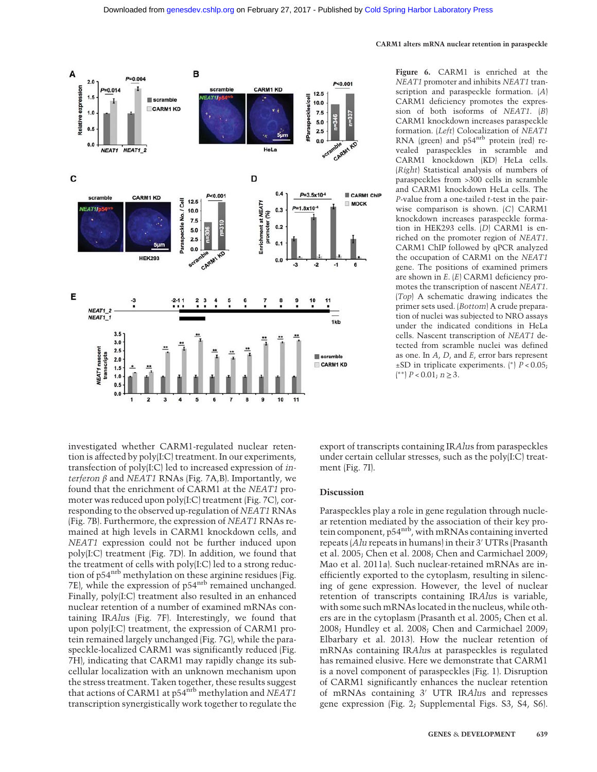

Figure 6. CARM1 is enriched at the NEAT1 promoter and inhibits NEAT1 transcription and paraspeckle formation. (A) CARM1 deficiency promotes the expression of both isoforms of NEAT1. (B) CARM1 knockdown increases paraspeckle formation. (Left) Colocalization of NEAT1 RNA (green) and p54<sup>nrb</sup> protein (red) revealed paraspeckles in scramble and CARM1 knockdown (KD) HeLa cells. (Right) Statistical analysis of numbers of paraspeckles from >300 cells in scramble and CARM1 knockdown HeLa cells. The  $P$ -value from a one-tailed  $t$ -test in the pairwise comparison is shown. (C) CARM1 knockdown increases paraspeckle formation in HEK293 cells. (D) CARM1 is enriched on the promoter region of NEAT1. CARM1 ChIP followed by qPCR analyzed the occupation of CARM1 on the NEAT1 gene. The positions of examined primers are shown in E. (E) CARM1 deficiency promotes the transcription of nascent NEAT1. (Top) A schematic drawing indicates the primer sets used. (Bottom) A crude preparation of nuclei was subjected to NRO assays under the indicated conditions in HeLa cells. Nascent transcription of NEAT1 detected from scramble nuclei was defined as one. In  $A$ ,  $D$ , and  $E$ , error bars represent  $±SD$  in triplicate experiments. (\*)  $P < 0.05$ ; ( ∗∗) P < 0.01; n ≥ 3.

investigated whether CARM1-regulated nuclear retention is affected by poly(I:C) treatment. In our experiments, transfection of poly(I:C) led to increased expression of interferon  $\beta$  and NEAT1 RNAs (Fig. 7A,B). Importantly, we found that the enrichment of CARM1 at the NEAT1 promoter was reduced upon poly(I:C) treatment (Fig. 7C), corresponding to the observed up-regulation of NEAT1 RNAs (Fig. 7B). Furthermore, the expression of NEAT1 RNAs remained at high levels in CARM1 knockdown cells, and NEAT1 expression could not be further induced upon poly(I:C) treatment (Fig. 7D). In addition, we found that the treatment of cells with poly(I:C) led to a strong reduction of p54 $\mathrm{^{nrb}}$  methylation on these arginine residues (Fig. 7E), while the expression of p54nrb remained unchanged. Finally, poly(I:C) treatment also resulted in an enhanced nuclear retention of a number of examined mRNAs containing IRAlus (Fig. 7F). Interestingly, we found that upon poly(I:C) treatment, the expression of CARM1 protein remained largely unchanged (Fig. 7G), while the paraspeckle-localized CARM1 was significantly reduced (Fig. 7H), indicating that CARM1 may rapidly change its subcellular localization with an unknown mechanism upon the stress treatment. Taken together, these results suggest that actions of CARM1 at p54<sup>nrb</sup> methylation and NEAT1 transcription synergistically work together to regulate the

export of transcripts containing IRAlus from paraspeckles under certain cellular stresses, such as the poly(I:C) treatment (Fig. 7I).

#### Discussion

Paraspeckles play a role in gene regulation through nuclear retention mediated by the association of their key protein component, p54<sup>nrb</sup>, with mRNAs containing inverted repeats (Alu repeats in humans) in their 3′ UTRs (Prasanth et al. 2005; Chen et al. 2008; Chen and Carmichael 2009; Mao et al. 2011a). Such nuclear-retained mRNAs are inefficiently exported to the cytoplasm, resulting in silencing of gene expression. However, the level of nuclear retention of transcripts containing IRAlus is variable, with some such mRNAs located in the nucleus, while others are in the cytoplasm (Prasanth et al. 2005; Chen et al. 2008; Hundley et al. 2008; Chen and Carmichael 2009; Elbarbary et al. 2013). How the nuclear retention of mRNAs containing IRAlus at paraspeckles is regulated has remained elusive. Here we demonstrate that CARM1 is a novel component of paraspeckles (Fig. 1). Disruption of CARM1 significantly enhances the nuclear retention of mRNAs containing 3′ UTR IRAlus and represses gene expression (Fig. 2; Supplemental Figs. S3, S4, S6).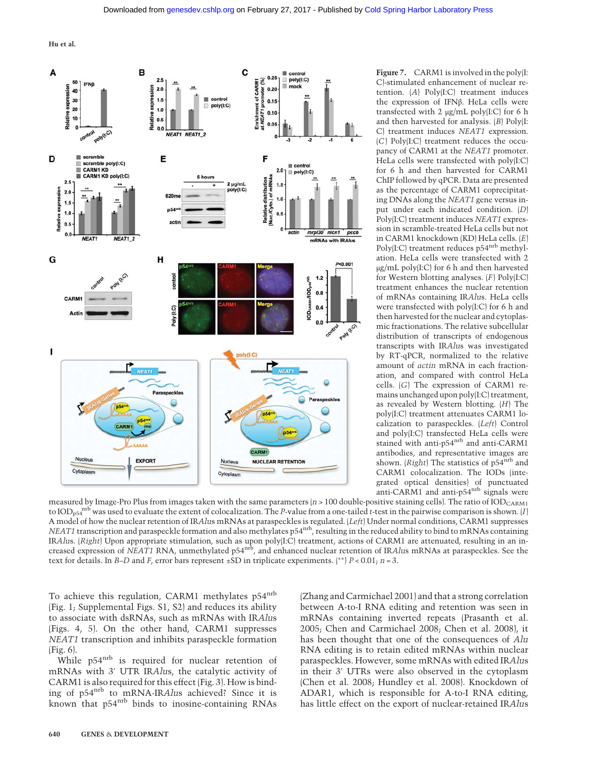

C)-stimulated enhancement of nuclear retention. (A) Poly(I:C) treatment induces the expression of IFNβ. HeLa cells were transfected with 2 μg/mL poly(I:C) for 6 h and then harvested for analysis. (B) Poly(I: C) treatment induces NEAT1 expression. (C) Poly(I:C) treatment reduces the occupancy of CARM1 at the NEAT1 promoter. HeLa cells were transfected with poly(I:C) for 6 h and then harvested for CARM1 ChIP followed by qPCR. Data are presented as the percentage of CARM1 coprecipitating DNAs along the NEAT1 gene versus input under each indicated condition. (D) Poly(I:C) treatment induces NEAT1 expression in scramble-treated HeLa cells but not in CARM1 knockdown (KD) HeLa cells. (E) Poly(I:C) treatment reduces p54<sup>nrb</sup> methylation. HeLa cells were transfected with 2 μg/mL poly(I:C) for 6 h and then harvested for Western blotting analyses. (F) Poly(I:C) treatment enhances the nuclear retention of mRNAs containing IRAlus. HeLa cells were transfected with poly(I:C) for 6 h and then harvested for the nuclear and cytoplasmic fractionations. The relative subcellular distribution of transcripts of endogenous transcripts with IRAlus was investigated by RT-qPCR, normalized to the relative amount of actin mRNA in each fractionation, and compared with control HeLa cells. (G) The expression of CARM1 remains unchanged upon poly(I:C) treatment, as revealed by Western blotting. (H) The poly(I:C) treatment attenuates CARM1 localization to paraspeckles. (Left) Control and poly(I:C) transfected HeLa cells were stained with anti-p54nrb and anti-CARM1 antibodies, and representative images are shown. (Right) The statistics of  $p54^{nrb}$  and CARM1 colocalization. The IODs (integrated optical densities) of punctuated anti-CARM1 and anti-p54nrb signals were

measured by Image-Pro Plus from images taken with the same parameters  $(n > 100$  double-positive staining cells). The ratio of IOD<sub>CARM1</sub> to  $\text{IOD}_{\text{D54}}^{\text{mrb}}$  was used to evaluate the extent of colocalization. The P-value from a one-tailed t-test in the pairwise comparison is shown. [I] A model of how the nuclear retention of IRAlus mRNAs at paraspeckles is regulated. (Left) Under normal conditions, CARM1 suppresses NEAT1 transcription and paraspeckle formation and also methylates p54nrb, resulting in the reduced ability to bind to mRNAs containing IRAlus. (Right) Upon appropriate stimulation, such as upon poly(I:C) treatment, actions of CARM1 are attenuated, resulting in an increased expression of NEAT1 RNA, unmethylated p54 $^{\rm{nb}}$ , and enhanced nuclear retention of IRAlus mRNAs at paraspeckles. See the text for details. In B–D and F, error bars represent  $\pm$ SD in triplicate experiments. (\*\*) P < 0.01; n = 3.

To achieve this regulation, CARM1 methylates p54<sup>nrb</sup> (Fig. 1; Supplemental Figs. S1, S2) and reduces its ability to associate with dsRNAs, such as mRNAs with IRAlus (Figs. 4, 5). On the other hand, CARM1 suppresses NEAT1 transcription and inhibits paraspeckle formation (Fig. 6).

While p54<sup>nrb</sup> is required for nuclear retention of mRNAs with 3′ UTR IRAlus, the catalytic activity of CARM1 is also required for this effect (Fig. 3). How is binding of p54<sup>nrb</sup> to mRNA-IRAlus achieved? Since it is known that p54<sup>nrb</sup> binds to inosine-containing RNAs

(Zhang and Carmichael 2001) and that a strong correlation between A-to-I RNA editing and retention was seen in mRNAs containing inverted repeats (Prasanth et al. 2005; Chen and Carmichael 2008; Chen et al. 2008), it has been thought that one of the consequences of Alu RNA editing is to retain edited mRNAs within nuclear paraspeckles. However, some mRNAs with edited IRAlus in their 3′ UTRs were also observed in the cytoplasm (Chen et al. 2008; Hundley et al. 2008). Knockdown of ADAR1, which is responsible for A-to-I RNA editing, has little effect on the export of nuclear-retained IRAlus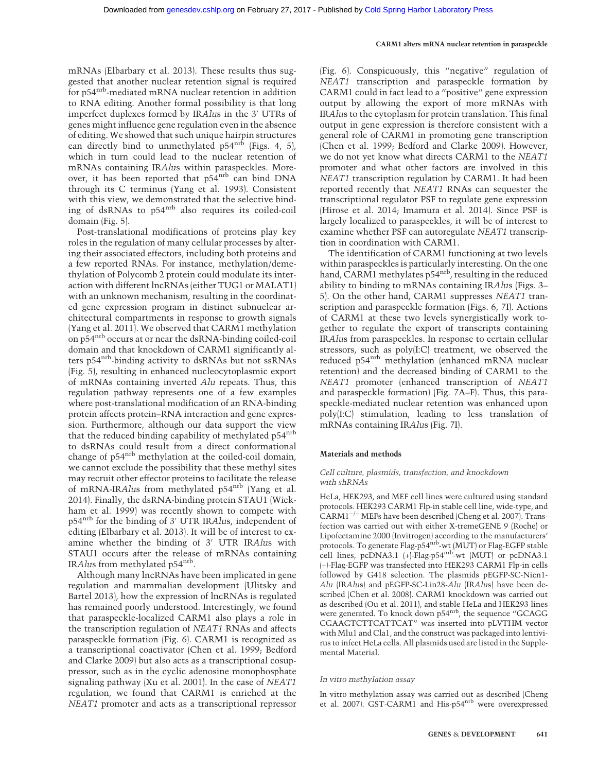mRNAs (Elbarbary et al. 2013). These results thus suggested that another nuclear retention signal is required for p54nrb-mediated mRNA nuclear retention in addition to RNA editing. Another formal possibility is that long imperfect duplexes formed by IRAlus in the 3′ UTRs of genes might influence gene regulation even in the absence of editing. We showed that such unique hairpin structures can directly bind to unmethylated  $p54^{nrb}$  (Figs. 4, 5), which in turn could lead to the nuclear retention of mRNAs containing IRAlus within paraspeckles. Moreover, it has been reported that p54<sup>nrb</sup> can bind DNA through its C terminus (Yang et al. 1993). Consistent with this view, we demonstrated that the selective binding of dsRNAs to p54nrb also requires its coiled-coil domain (Fig. 5).

Post-translational modifications of proteins play key roles in the regulation of many cellular processes by altering their associated effectors, including both proteins and a few reported RNAs. For instance, methylation/demethylation of Polycomb 2 protein could modulate its interaction with different lncRNAs (either TUG1 or MALAT1) with an unknown mechanism, resulting in the coordinated gene expression program in distinct subnuclear architectural compartments in response to growth signals (Yang et al. 2011). We observed that CARM1 methylation on p54nrb occurs at or near the dsRNA-binding coiled-coil domain and that knockdown of CARM1 significantly alters p54nrb-binding activity to dsRNAs but not ssRNAs (Fig. 5), resulting in enhanced nucleocytoplasmic export of mRNAs containing inverted Alu repeats. Thus, this regulation pathway represents one of a few examples where post-translational modification of an RNA-binding protein affects protein–RNA interaction and gene expression. Furthermore, although our data support the view that the reduced binding capability of methylated p54<sup>nrb</sup> to dsRNAs could result from a direct conformational change of p54nrb methylation at the coiled-coil domain, we cannot exclude the possibility that these methyl sites may recruit other effector proteins to facilitate the release of mRNA-IRAlus from methylated p54nrb (Yang et al. 2014). Finally, the dsRNA-binding protein STAU1 (Wickham et al. 1999) was recently shown to compete with p54<sup>nrb</sup> for the binding of 3' UTR IRAlus, independent of editing (Elbarbary et al. 2013). It will be of interest to examine whether the binding of 3′ UTR IRAlus with STAU1 occurs after the release of mRNAs containing IRAlus from methylated p54nrb.

Although many lncRNAs have been implicated in gene regulation and mammalian development (Ulitsky and Bartel 2013), how the expression of lncRNAs is regulated has remained poorly understood. Interestingly, we found that paraspeckle-localized CARM1 also plays a role in the transcription regulation of NEAT1 RNAs and affects paraspeckle formation (Fig. 6). CARM1 is recognized as a transcriptional coactivator (Chen et al. 1999; Bedford and Clarke 2009) but also acts as a transcriptional cosuppressor, such as in the cyclic adenosine monophosphate signaling pathway (Xu et al. 2001). In the case of NEAT1 regulation, we found that CARM1 is enriched at the NEAT1 promoter and acts as a transcriptional repressor

(Fig. 6). Conspicuously, this "negative" regulation of NEAT1 transcription and paraspeckle formation by CARM1 could in fact lead to a "positive" gene expression output by allowing the export of more mRNAs with IRAlus to the cytoplasm for protein translation. This final output in gene expression is therefore consistent with a general role of CARM1 in promoting gene transcription (Chen et al. 1999; Bedford and Clarke 2009). However, we do not yet know what directs CARM1 to the NEAT1 promoter and what other factors are involved in this NEAT1 transcription regulation by CARM1. It had been reported recently that NEAT1 RNAs can sequester the transcriptional regulator PSF to regulate gene expression (Hirose et al. 2014; Imamura et al. 2014). Since PSF is largely localized to paraspeckles, it will be of interest to examine whether PSF can autoregulate NEAT1 transcription in coordination with CARM1.

The identification of CARM1 functioning at two levels within paraspeckles is particularly interesting. On the one hand, CARM1 methylates p54<sup>nrb</sup>, resulting in the reduced ability to binding to mRNAs containing IRAlus (Figs. 3– 5). On the other hand, CARM1 suppresses NEAT1 transcription and paraspeckle formation (Figs. 6, 7I). Actions of CARM1 at these two levels synergistically work together to regulate the export of transcripts containing IRAlus from paraspeckles. In response to certain cellular stressors, such as poly(I:C) treatment, we observed the reduced p54<sup>nrb</sup> methylation (enhanced mRNA nuclear retention) and the decreased binding of CARM1 to the NEAT1 promoter (enhanced transcription of NEAT1 and paraspeckle formation) (Fig. 7A–F). Thus, this paraspeckle-mediated nuclear retention was enhanced upon poly(I:C) stimulation, leading to less translation of mRNAs containing IRAlus (Fig. 7I).

#### Materials and methods

#### Cell culture, plasmids, transfection, and knockdown with shRNAs

HeLa, HEK293, and MEF cell lines were cultured using standard protocols. HEK293 CARM1 Flp-in stable cell line, wide-type, and CARM1−/<sup>−</sup> MEFs have been described (Cheng et al. 2007). Transfection was carried out with either X-tremeGENE 9 (Roche) or Lipofectamine 2000 (Invitrogen) according to the manufacturers' protocols. To generate Flag-p54nrb-wt (MUT) or Flag-EGFP stable cell lines, pcDNA3.1 (+)-Flag-p54 $\text{m}^{\text{b}}$ -wt (MUT) or pcDNA3.1 (+)-Flag-EGFP was transfected into HEK293 CARM1 Flp-in cells followed by G418 selection. The plasmids pEGFP-SC-Nicn1- Alu (IRAlus) and pEGFP-SC-Lin28-Alu (IRAlus) have been described (Chen et al. 2008). CARM1 knockdown was carried out as described (Ou et al. 2011), and stable HeLa and HEK293 lines were generated. To knock down p54<sup>nrb</sup>, the sequence "GCAGG CGAAGTCTTCATTCAT" was inserted into pLVTHM vector with Mlu1 and Cla1, and the construct was packaged into lentivirus to infect HeLa cells. All plasmids used are listed in the Supplemental Material.

#### In vitro methylation assay

In vitro methylation assay was carried out as described (Cheng et al. 2007). GST-CARM1 and His-p54nrb were overexpressed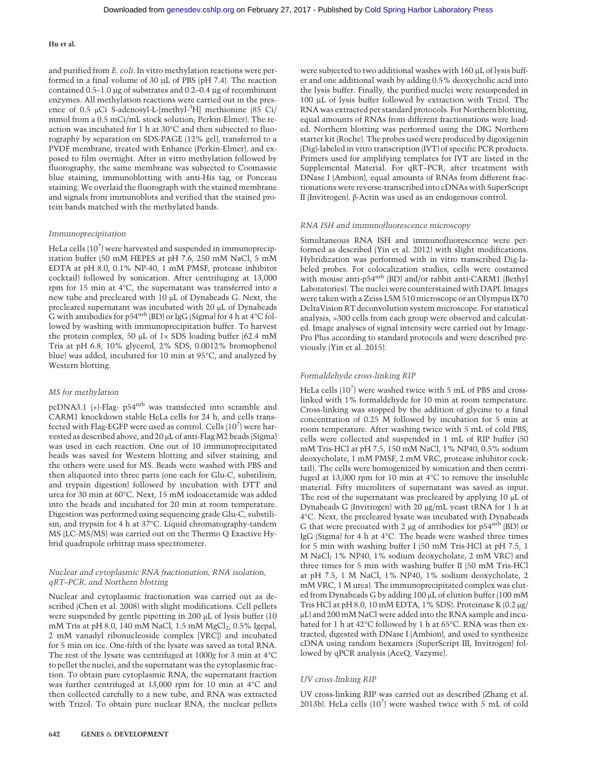and purified from E. coli. In vitro methylation reactions were performed in a final volume of 30 µL of PBS (pH 7.4). The reaction contained 0.5–1.0 µg of substrates and 0.2–0.4 µg of recombinant enzymes. All methylation reactions were carried out in the presence of 0.5 μCi S-adenosyl-L-[methyl-3 H] methionine (85 Ci/ mmol from a 0.5 mCi/mL stock solution; Perkin-Elmer). The reaction was incubated for 1 h at 30°C and then subjected to fluorography by separation on SDS-PAGE (12% gel), transferred to a PVDF membrane, treated with Enhance (Perkin-Elmer), and exposed to film overnight. After in vitro methylation followed by fluorography, the same membrane was subjected to Coomassie blue staining, immunoblotting with anti-His tag, or Ponceau staining. We overlaid the fluorograph with the stained membrane and signals from immunoblots and verified that the stained protein bands matched with the methylated bands.

#### Immunoprecipitation

HeLa cells  $(10^7)$  were harvested and suspended in immunoprecipitation buffer (50 mM HEPES at pH 7.6, 250 mM NaCl, 5 mM EDTA at pH 8.0, 0.1% NP-40, 1 mM PMSF, protease inhibitor cocktail) followed by sonication. After centrifuging at 13,000 rpm for 15 min at 4°C, the supernatant was transferred into a new tube and precleared with 10 μL of Dynabeads G. Next, the precleared supernatant was incubated with 20 μL of Dynabeads G with antibodies for p54nrb (BD) or IgG (Sigma) for 4 h at 4°C followed by washing with immunoprecipitation buffer. To harvest the protein complex, 50 μL of  $1 \times$  SDS loading buffer (62.4 mM Tris at pH 6.8, 10% glycerol, 2% SDS, 0.0012% bromophenol blue) was added, incubated for 10 min at 95°C, and analyzed by Western blotting.

#### MS for methylation

pcDNA3.1 (+)-Flag- p54nrb was transfected into scramble and CARM1 knockdown stable HeLa cells for 24 h, and cells transfected with Flag-EGFP were used as control. Cells  $(10^7)$  were harvested as described above, and 20 μL of anti-Flag M2 beads (Sigma) was used in each reaction. One out of 10 immunoprecipitated beads was saved for Western blotting and silver staining, and the others were used for MS. Beads were washed with PBS and then aliquoted into three parts (one each for Glu-C, substilisin, and trypsin digestion) followed by incubation with DTT and urea for 30 min at 60°C. Next, 15 mM iodoacetamide was added into the beads and incubated for 20 min at room temperature. Digestion was performed using sequencing grade Glu-C, substilisin, and trypsin for 4 h at 37°C. Liquid chromatography-tandem MS (LC-MS/MS) was carried out on the Thermo Q Exactive Hybrid quadrupole orbitrap mass spectrometer.

#### Nuclear and cytoplasmic RNA fractionation, RNA isolation, qRT–PCR, and Northern blotting

Nuclear and cytoplasmic fractionation was carried out as described (Chen et al. 2008) with slight modifications. Cell pellets were suspended by gentle pipetting in 200 μL of lysis buffer (10 mM Tris at pH 8.0, 140 mM NaCl, 1.5 mM MgCl<sub>2</sub>, 0.5% Igepal, 2 mM vanadyl ribonucleoside complex [VRC]) and incubated for 5 min on ice. One-fifth of the lysate was saved as total RNA. The rest of the lysate was centrifuged at 1000g for 3 min at 4°C to pellet the nuclei, and the supernatant was the cytoplasmic fraction. To obtain pure cytoplasmic RNA, the supernatant fraction was further centrifuged at 13,000 rpm for 10 min at 4°C and then collected carefully to a new tube, and RNA was extracted with Trizol. To obtain pure nuclear RNA, the nuclear pellets were subjected to two additional washes with 160 µL of lysis buffer and one additional wash by adding 0.5% deoxycholic acid into the lysis buffer. Finally, the purified nuclei were resuspended in 100 µL of lysis buffer followed by extraction with Trizol. The RNA was extracted per standard protocols. For Northern blotting, equal amounts of RNAs from different fractionations were loaded. Northern blotting was performed using the DIG Northern starter kit (Roche). The probes used were produced by digoxigenin (Dig)-labeled in vitro transcription (IVT) of specific PCR products. Primers used for amplifying templates for IVT are listed in the Supplemental Material. For qRT–PCR, after treatment with DNase I (Ambion), equal amounts of RNAs from different fractionations were reverse-transcribed into cDNAs with SuperScript II (Invitrogen). β-Actin was used as an endogenous control.

#### RNA ISH and immunofluorescence microscopy

Simultaneous RNA ISH and immunofluorescence were performed as described (Yin et al. 2012) with slight modifications. Hybridization was performed with in vitro transcribed Dig-labeled probes. For colocalization studies, cells were costained with mouse anti-p54nrb (BD) and/or rabbit anti-CARM1 (Bethyl Laboratories). The nuclei were counterstained with DAPI. Images were taken with a Zeiss LSM 510 microscope or an Olympus IX70 DeltaVision RT deconvolution system microscope. For statistical analysis, >300 cells from each group were observed and calculated. Image analyses of signal intensity were carried out by Image-Pro Plus according to standard protocols and were described previously (Yin et al. 2015).

#### Formaldehyde cross-linking RIP

HeLa cells (10<sup>7</sup>) were washed twice with 5 mL of PBS and crosslinked with 1% formaldehyde for 10 min at room temperature. Cross-linking was stopped by the addition of glycine to a final concentration of 0.25 M followed by incubation for 5 min at room temperature. After washing twice with 5 mL of cold PBS, cells were collected and suspended in 1 mL of RIP buffer (50 mM Tris-HCl at pH 7.5, 150 mM NaCl, 1% NP40, 0.5% sodium deoxycholate, 1 mM PMSF, 2 mM VRC, protease inhibitor cocktail). The cells were homogenized by sonication and then centrifuged at 13,000 rpm for 10 min at 4°C to remove the insoluble material. Fifty microliters of supernatant was saved as input. The rest of the supernatant was precleared by applying 10 μL of Dynabeads G (Invitrogen) with 20 μg/mL yeast tRNA for 1 h at 4°C. Next, the precleared lysate was incubated with Dynabeads G that were precoated with 2  $\mu$ g of antibodies for p54<sup>nrb</sup> (BD) or IgG (Sigma) for 4 h at 4°C. The beads were washed three times for 5 min with washing buffer I (50 mM Tris-HCl at pH 7.5, 1 M NaCl; 1% NP40, 1% sodium deoxycholate, 2 mM VRC) and three times for 5 min with washing buffer II (50 mM Tris-HCl at pH 7.5, 1 M NaCl, 1% NP40, 1% sodium deoxycholate, 2 mM VRC, 1 M urea). The immunoprecipitated complex was eluted from Dynabeads G by adding 100 μL of elution buffer (100 mM Tris HCl at pH 8.0, 10 mM EDTA, 1% SDS). Proteinase K (0.2 μg/ μL) and 200 mM NaCl were added into the RNA sample and incubated for 1 h at 42°C followed by 1 h at 65°C. RNA was then extracted, digested with DNase I (Ambion), and used to synthesize cDNA using random hexamers (SuperScript III, Invitrogen) followed by qPCR analysis (AceQ, Vazyme).

#### UV cross-linking RIP

UV cross-linking RIP was carried out as described (Zhang et al. 2013b). HeLa cells (107) were washed twice with 5 mL of cold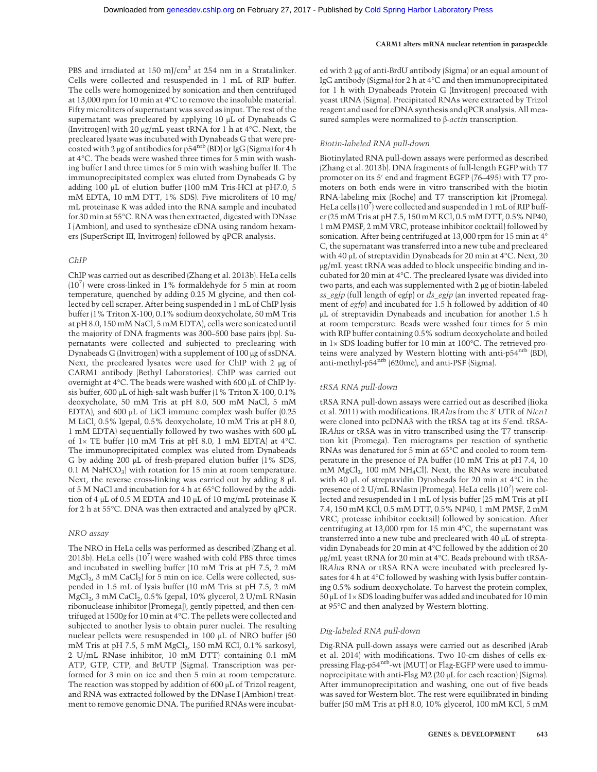PBS and irradiated at 150 mJ/cm<sup>2</sup> at 254 nm in a Stratalinker. Cells were collected and resuspended in 1 mL of RIP buffer. The cells were homogenized by sonication and then centrifuged at 13,000 rpm for 10 min at 4°C to remove the insoluble material. Fifty microliters of supernatant was saved as input. The rest of the supernatant was precleared by applying 10 μL of Dynabeads G (Invitrogen) with 20 μg/mL yeast tRNA for 1 h at 4°C. Next, the precleared lysate was incubated with Dynabeads G that were precoated with 2 μg of antibodies for p54nrb (BD) or IgG (Sigma) for 4 h at 4°C. The beads were washed three times for 5 min with washing buffer I and three times for 5 min with washing buffer II. The immunoprecipitated complex was eluted from Dynabeads G by adding 100 μL of elution buffer (100 mM Tris-HCl at pH7.0, 5 mM EDTA, 10 mM DTT, 1% SDS). Five microliters of 10 mg/ mL proteinase K was added into the RNA sample and incubated for 30 min at 55°C. RNA was then extracted, digested with DNase I (Ambion), and used to synthesize cDNA using random hexamers (SuperScript III, Invitrogen) followed by qPCR analysis.

#### ChIP

ChIP was carried out as described (Zhang et al. 2013b). HeLa cells (107 ) were cross-linked in 1% formaldehyde for 5 min at room temperature, quenched by adding 0.25 M glycine, and then collected by cell scraper. After being suspended in 1 mL of ChIP lysis buffer (1% Triton X-100, 0.1% sodium deoxycholate, 50 mM Tris at pH 8.0, 150 mM NaCl, 5 mM EDTA), cells were sonicated until the majority of DNA fragments was 300–500 base pairs (bp). Supernatants were collected and subjected to preclearing with Dynabeads G (Invitrogen) with a supplement of 100 μg of ssDNA. Next, the precleared lysates were used for ChIP with 2 μg of CARM1 antibody (Bethyl Laboratories). ChIP was carried out overnight at 4°C. The beads were washed with 600 μL of ChIP lysis buffer, 600 μL of high-salt wash buffer (1% Triton X-100, 0.1% deoxycholate, 50 mM Tris at pH 8.0, 500 mM NaCl, 5 mM EDTA), and 600 μL of LiCl immune complex wash buffer (0.25 M LiCl, 0.5% Igepal, 0.5% deoxycholate, 10 mM Tris at pH 8.0, 1 mM EDTA) sequentially followed by two washes with 600 μL of 1× TE buffer (10 mM Tris at pH 8.0, 1 mM EDTA) at 4°C. The immunoprecipitated complex was eluted from Dynabeads G by adding 200 μL of fresh-prepared elution buffer (1% SDS,  $0.1$  M NaHCO<sub>3</sub>) with rotation for 15 min at room temperature. Next, the reverse cross-linking was carried out by adding 8 μL of 5 M NaCl and incubation for 4 h at 65°C followed by the addition of 4 μL of 0.5 M EDTA and 10 μL of 10 mg/mL proteinase K for 2 h at 55°C. DNA was then extracted and analyzed by qPCR.

#### NRO assay

The NRO in HeLa cells was performed as described (Zhang et al. 2013b). HeLa cells (107) were washed with cold PBS three times and incubated in swelling buffer (10 mM Tris at pH 7.5, 2 mM MgCl<sub>2</sub>, 3 mM CaCl<sub>2</sub>) for 5 min on ice. Cells were collected, suspended in 1.5 mL of lysis buffer (10 mM Tris at pH 7.5, 2 mM MgCl<sub>2</sub>, 3 mM CaCl<sub>2</sub>, 0.5% Igepal, 10% glycerol, 2 U/mL RNasin ribonuclease inhibitor [Promega]), gently pipetted, and then centrifuged at 1500g for 10 min at 4°C. The pellets were collected and subjected to another lysis to obtain purer nuclei. The resulting nuclear pellets were resuspended in 100 μL of NRO buffer (50 mM Tris at pH 7.5, 5 mM MgCl<sub>2</sub>, 150 mM KCl, 0.1% sarkosyl, 2 U/mL RNase inhibitor, 10 mM DTT) containing 0.1 mM ATP, GTP, CTP, and BrUTP (Sigma). Transcription was performed for 3 min on ice and then 5 min at room temperature. The reaction was stopped by addition of 600 μL of Trizol reagent, and RNA was extracted followed by the DNase I (Ambion) treatment to remove genomic DNA. The purified RNAs were incubated with 2 μg of anti-BrdU antibody (Sigma) or an equal amount of IgG antibody (Sigma) for 2 h at 4°C and then immunoprecipitated for 1 h with Dynabeads Protein G (Invitrogen) precoated with yeast tRNA (Sigma). Precipitated RNAs were extracted by Trizol reagent and used for cDNA synthesis and qPCR analysis. All measured samples were normalized to β-actin transcription.

#### Biotin-labeled RNA pull-down

Biotinylated RNA pull-down assays were performed as described (Zhang et al. 2013b). DNA fragments of full-length EGFP with T7 promoter on its 5′ end and fragment EGFP (76–495) with T7 promoters on both ends were in vitro transcribed with the biotin RNA-labeling mix (Roche) and T7 transcription kit (Promega). HeLa cells (10<sup>7</sup>) were collected and suspended in 1 mL of RIP buffer (25 mM Tris at pH 7.5, 150 mM KCl, 0.5 mM DTT, 0.5% NP40, 1 mM PMSF, 2 mM VRC, protease inhibitor cocktail) followed by sonication. After being centrifuged at 13,000 rpm for 15 min at 4° C, the supernatant was transferred into a new tube and precleared with 40 μL of streptavidin Dynabeads for 20 min at 4°C. Next, 20 μg/mL yeast tRNA was added to block unspecific binding and incubated for 20 min at 4°C. The precleared lysate was divided into two parts, and each was supplemented with 2 μg of biotin-labeled ss\_egfp (full length of egfp) or  $ds\_egfp$  (an inverted repeated fragment of egfp) and incubated for 1.5 h followed by addition of 40 μL of streptavidin Dynabeads and incubation for another 1.5 h at room temperature. Beads were washed four times for 5 min with RIP buffer containing 0.5% sodium deoxycholate and boiled in 1× SDS loading buffer for 10 min at 100°C. The retrieved proteins were analyzed by Western blotting with anti-p54<sup>nrb</sup> (BD), anti-methyl-p54nrb (620me), and anti-PSF (Sigma).

#### tRSA RNA pull-down

tRSA RNA pull-down assays were carried out as described (Iioka et al. 2011) with modifications. IRAlus from the 3′ UTR of Nicn1 were cloned into pcDNA3 with the tRSA tag at its 5′ end. tRSA-IRAlus or tRSA was in vitro transcribed using the T7 transcription kit (Promega). Ten micrograms per reaction of synthetic RNAs was denatured for 5 min at 65°C and cooled to room temperature in the presence of PA buffer (10 mM Tris at pH 7.4, 10 mM MgCl<sub>2</sub>, 100 mM NH<sub>4</sub>Cl). Next, the RNAs were incubated with 40 μL of streptavidin Dynabeads for 20 min at 4°C in the presence of 2 U/mL RNasin (Promega). HeLa cells (10<sup>7</sup>) were collected and resuspended in 1 mL of lysis buffer (25 mM Tris at pH 7.4, 150 mM KCl, 0.5 mM DTT, 0.5% NP40, 1 mM PMSF, 2 mM VRC, protease inhibitor cocktail) followed by sonication. After centrifuging at 13,000 rpm for 15 min 4°C, the supernatant was transferred into a new tube and precleared with 40 μL of streptavidin Dynabeads for 20 min at 4°C followed by the addition of 20 μg/mL yeast tRNA for 20 min at 4°C. Beads prebound with tRSA-IRAlus RNA or tRSA RNA were incubated with precleared lysates for 4 h at 4°C followed by washing with lysis buffer containing 0.5% sodium deoxycholate. To harvest the protein complex, 50 μL of 1× SDS loading buffer was added and incubated for 10 min at 95°C and then analyzed by Western blotting.

## Dig-labeled RNA pull-down

Dig-RNA pull-down assays were carried out as described (Arab et al. 2014) with modifications. Two 10-cm dishes of cells expressing Flag-p54<sup>nrb</sup>-wt (MUT) or Flag-EGFP were used to immunoprecipitate with anti-Flag M2 (20 μL for each reaction) (Sigma). After immunoprecipitation and washing, one out of five beads was saved for Western blot. The rest were equilibrated in binding buffer (50 mM Tris at pH 8.0, 10% glycerol, 100 mM KCl, 5 mM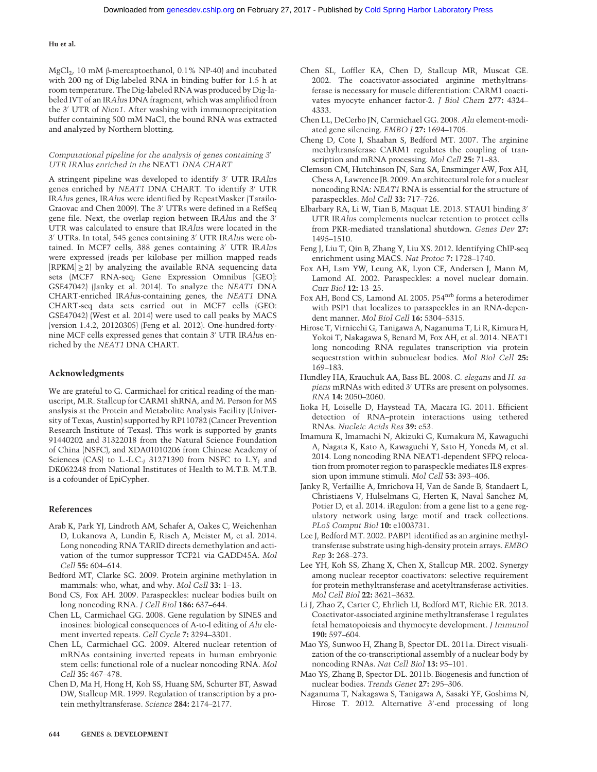MgCl2, 10 mM β-mercaptoethanol, 0.1% NP-40) and incubated with 200 ng of Dig-labeled RNA in binding buffer for 1.5 h at room temperature. The Dig-labeled RNA was produced by Dig-labeled IVT of an IRAlus DNA fragment, which was amplified from the 3′ UTR of Nicn1. After washing with immunoprecipitation buffer containing 500 mM NaCl, the bound RNA was extracted and analyzed by Northern blotting.

#### Computational pipeline for the analysis of genes containing 3′ UTR IRAlus enriched in the NEAT1 DNA CHART

A stringent pipeline was developed to identify 3′ UTR IRAlus genes enriched by NEAT1 DNA CHART. To identify 3′ UTR IRAlus genes, IRAlus were identified by RepeatMasker (Tarailo-Graovac and Chen 2009). The 3′ UTRs were defined in a RefSeq gene file. Next, the overlap region between IRAlus and the 3′ UTR was calculated to ensure that IRAlus were located in the 3′ UTRs. In total, 545 genes containing 3′ UTR IRAlus were obtained. In MCF7 cells, 388 genes containing 3′ UTR IRAlus were expressed (reads per kilobase per million mapped reads  $[RPKM] \geq 2$  by analyzing the available RNA sequencing data sets (MCF7 RNA-seq; Gene Expression Omnibus [GEO]: GSE47042) (Janky et al. 2014). To analyze the NEAT1 DNA CHART-enriched IRAlus-containing genes, the NEAT1 DNA CHART-seq data sets carried out in MCF7 cells (GEO: GSE47042) (West et al. 2014) were used to call peaks by MACS (version 1.4.2, 20120305) (Feng et al. 2012). One-hundred-fortynine MCF cells expressed genes that contain 3′ UTR IRAlus enriched by the NEAT1 DNA CHART.

## Acknowledgments

We are grateful to G. Carmichael for critical reading of the manuscript, M.R. Stallcup for CARM1 shRNA, and M. Person for MS analysis at the Protein and Metabolite Analysis Facility (University of Texas, Austin) supported by RP110782 (Cancer Prevention Research Institute of Texas). This work is supported by grants 91440202 and 31322018 from the Natural Science Foundation of China (NSFC), and XDA01010206 from Chinese Academy of Sciences (CAS) to L.-L.C.; 31271390 from NSFC to L.Y; and DK062248 from National Institutes of Health to M.T.B. M.T.B. is a cofounder of EpiCypher.

#### References

- Arab K, Park YJ, Lindroth AM, Schafer A, Oakes C, Weichenhan D, Lukanova A, Lundin E, Risch A, Meister M, et al. 2014. Long noncoding RNA TARID directs demethylation and activation of the tumor suppressor TCF21 via GADD45A. Mol Cell 55: 604–614.
- Bedford MT, Clarke SG. 2009. Protein arginine methylation in mammals: who, what, and why. Mol Cell 33: 1–13.
- Bond CS, Fox AH. 2009. Paraspeckles: nuclear bodies built on long noncoding RNA. J Cell Biol 186: 637–644.
- Chen LL, Carmichael GG. 2008. Gene regulation by SINES and inosines: biological consequences of A-to-I editing of Alu element inverted repeats. Cell Cycle 7: 3294–3301.
- Chen LL, Carmichael GG. 2009. Altered nuclear retention of mRNAs containing inverted repeats in human embryonic stem cells: functional role of a nuclear noncoding RNA. Mol Cell 35: 467–478.
- Chen D, Ma H, Hong H, Koh SS, Huang SM, Schurter BT, Aswad DW, Stallcup MR. 1999. Regulation of transcription by a protein methyltransferase. Science 284: 2174–2177.
- Chen SL, Loffler KA, Chen D, Stallcup MR, Muscat GE. 2002. The coactivator-associated arginine methyltransferase is necessary for muscle differentiation: CARM1 coactivates myocyte enhancer factor-2. J Biol Chem 277: 4324– 4333.
- Chen LL, DeCerbo JN, Carmichael GG. 2008. Alu element-mediated gene silencing. EMBO J 27: 1694–1705.
- Cheng D, Cote J, Shaaban S, Bedford MT. 2007. The arginine methyltransferase CARM1 regulates the coupling of transcription and mRNA processing. Mol Cell 25: 71-83.
- Clemson CM, Hutchinson JN, Sara SA, Ensminger AW, Fox AH, Chess A, Lawrence JB. 2009. An architectural role for a nuclear noncoding RNA: NEAT1 RNA is essential for the structure of paraspeckles. Mol Cell 33: 717–726.
- Elbarbary RA, Li W, Tian B, Maquat LE. 2013. STAU1 binding 3′ UTR IRAlus complements nuclear retention to protect cells from PKR-mediated translational shutdown. Genes Dev 27: 1495–1510.
- Feng J, Liu T, Qin B, Zhang Y, Liu XS. 2012. Identifying ChIP-seq enrichment using MACS. Nat Protoc 7: 1728–1740.
- Fox AH, Lam YW, Leung AK, Lyon CE, Andersen J, Mann M, Lamond AI. 2002. Paraspeckles: a novel nuclear domain. Curr Biol 12: 13–25.
- Fox AH, Bond CS, Lamond AI. 2005. P54<sup>nrb</sup> forms a heterodimer with PSP1 that localizes to paraspeckles in an RNA-dependent manner. Mol Biol Cell 16: 5304–5315.
- Hirose T, Virnicchi G, Tanigawa A, Naganuma T, Li R, Kimura H, Yokoi T, Nakagawa S, Benard M, Fox AH, et al. 2014. NEAT1 long noncoding RNA regulates transcription via protein sequestration within subnuclear bodies. Mol Biol Cell 25: 169–183.
- Hundley HA, Krauchuk AA, Bass BL. 2008. C. elegans and H. sapiens mRNAs with edited 3′ UTRs are present on polysomes. RNA 14: 2050–2060.
- Iioka H, Loiselle D, Haystead TA, Macara IG. 2011. Efficient detection of RNA–protein interactions using tethered RNAs. Nucleic Acids Res 39: e53.
- Imamura K, Imamachi N, Akizuki G, Kumakura M, Kawaguchi A, Nagata K, Kato A, Kawaguchi Y, Sato H, Yoneda M, et al. 2014. Long noncoding RNA NEAT1-dependent SFPQ relocation from promoter region to paraspeckle mediates IL8 expression upon immune stimuli. Mol Cell 53: 393–406.
- Janky R, Verfaillie A, Imrichova H, Van de Sande B, Standaert L, Christiaens V, Hulselmans G, Herten K, Naval Sanchez M, Potier D, et al. 2014. iRegulon: from a gene list to a gene regulatory network using large motif and track collections. PLoS Comput Biol 10: e1003731.
- Lee J, Bedford MT. 2002. PABP1 identified as an arginine methyltransferase substrate using high-density protein arrays. EMBO Rep 3: 268–273.
- Lee YH, Koh SS, Zhang X, Chen X, Stallcup MR. 2002. Synergy among nuclear receptor coactivators: selective requirement for protein methyltransferase and acetyltransferase activities. Mol Cell Biol 22: 3621–3632.
- Li J, Zhao Z, Carter C, Ehrlich LI, Bedford MT, Richie ER. 2013. Coactivator-associated arginine methyltransferase 1 regulates fetal hematopoiesis and thymocyte development. J Immunol 190: 597–604.
- Mao YS, Sunwoo H, Zhang B, Spector DL. 2011a. Direct visualization of the co-transcriptional assembly of a nuclear body by noncoding RNAs. Nat Cell Biol 13: 95–101.
- Mao YS, Zhang B, Spector DL. 2011b. Biogenesis and function of nuclear bodies. Trends Genet 27: 295–306.
- Naganuma T, Nakagawa S, Tanigawa A, Sasaki YF, Goshima N, Hirose T. 2012. Alternative 3'-end processing of long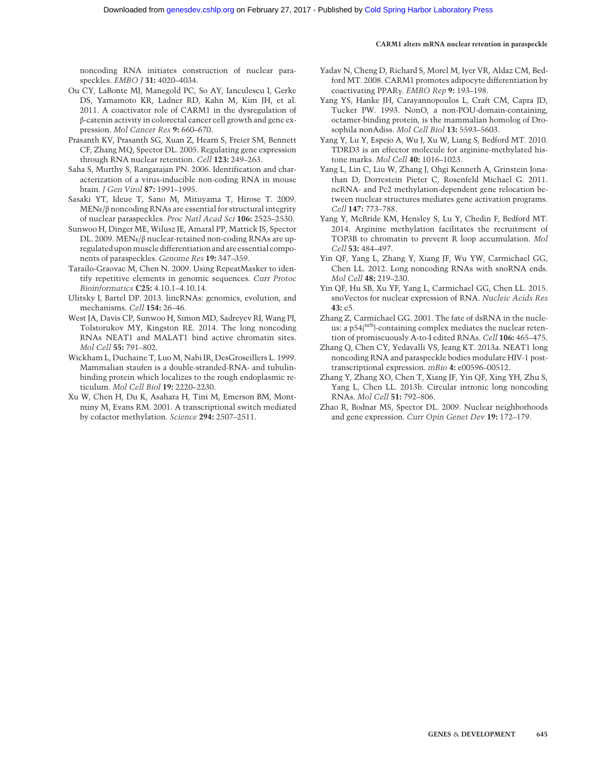noncoding RNA initiates construction of nuclear paraspeckles. EMBO J 31: 4020–4034.

- Ou CY, LaBonte MJ, Manegold PC, So AY, Ianculescu I, Gerke DS, Yamamoto KR, Ladner RD, Kahn M, Kim JH, et al. 2011. A coactivator role of CARM1 in the dysregulation of β-catenin activity in colorectal cancer cell growth and gene expression. Mol Cancer Res 9: 660–670.
- Prasanth KV, Prasanth SG, Xuan Z, Hearn S, Freier SM, Bennett CF, Zhang MQ, Spector DL. 2005. Regulating gene expression through RNA nuclear retention. Cell 123: 249–263.
- Saha S, Murthy S, Rangarajan PN. 2006. Identification and characterization of a virus-inducible non-coding RNA in mouse brain. J Gen Virol 87: 1991–1995.
- Sasaki YT, Ideue T, Sano M, Mituyama T, Hirose T. 2009. MENε/β noncoding RNAs are essential for structural integrity of nuclear paraspeckles. Proc Natl Acad Sci 106: 2525–2530.
- Sunwoo H, Dinger ME, Wilusz JE, Amaral PP, Mattick JS, Spector DL. 2009. MENε/β nuclear-retained non-coding RNAs are upregulated upon muscle differentiation and are essential components of paraspeckles. Genome Res 19: 347–359.
- Tarailo-Graovac M, Chen N. 2009. Using RepeatMasker to identify repetitive elements in genomic sequences. Curr Protoc Bioinformatics C25: 4.10.1–4.10.14.
- Ulitsky I, Bartel DP. 2013. lincRNAs: genomics, evolution, and mechanisms. Cell 154: 26–46.
- West JA, Davis CP, Sunwoo H, Simon MD, Sadreyev RI, Wang PI, Tolstorukov MY, Kingston RE. 2014. The long noncoding RNAs NEAT1 and MALAT1 bind active chromatin sites. Mol Cell 55: 791–802.
- Wickham L, Duchaine T, Luo M, Nabi IR, DesGroseillers L. 1999. Mammalian staufen is a double-stranded-RNA- and tubulinbinding protein which localizes to the rough endoplasmic reticulum. Mol Cell Biol 19: 2220–2230.
- Xu W, Chen H, Du K, Asahara H, Tini M, Emerson BM, Montminy M, Evans RM. 2001. A transcriptional switch mediated by cofactor methylation. Science 294: 2507–2511.
- Yadav N, Cheng D, Richard S, Morel M, Iyer VR, Aldaz CM, Bedford MT. 2008. CARM1 promotes adipocyte differentiation by coactivating PPARγ. EMBO Rep 9: 193–198.
- Yang YS, Hanke JH, Carayannopoulos L, Craft CM, Capra JD, Tucker PW. 1993. NonO, a non-POU-domain-containing, octamer-binding protein, is the mammalian homolog of Drosophila nonAdiss. Mol Cell Biol 13: 5593–5603.
- Yang Y, Lu Y, Espejo A, Wu J, Xu W, Liang S, Bedford MT. 2010. TDRD3 is an effector molecule for arginine-methylated histone marks. Mol Cell 40: 1016–1023.
- Yang L, Lin C, Liu W, Zhang J, Ohgi Kenneth A, Grinstein Jonathan D, Dorrestein Pieter C, Rosenfeld Michael G. 2011. ncRNA- and Pc2 methylation-dependent gene relocation between nuclear structures mediates gene activation programs. Cell 147: 773–788.
- Yang Y, McBride KM, Hensley S, Lu Y, Chedin F, Bedford MT. 2014. Arginine methylation facilitates the recruitment of TOP3B to chromatin to prevent R loop accumulation. Mol Cell 53: 484–497.
- Yin QF, Yang L, Zhang Y, Xiang JF, Wu YW, Carmichael GG, Chen LL. 2012. Long noncoding RNAs with snoRNA ends. Mol Cell 48: 219–230.
- Yin QF, Hu SB, Xu YF, Yang L, Carmichael GG, Chen LL. 2015. snoVectos for nuclear expression of RNA. Nucleic Acids Res 43: e5.
- Zhang Z, Carmichael GG. 2001. The fate of dsRNA in the nucleus: a p54(nrb)-containing complex mediates the nuclear retention of promiscuously A-to-I edited RNAs. Cell 106: 465–475.
- Zhang Q, Chen CY, Yedavalli VS, Jeang KT. 2013a. NEAT1 long noncoding RNA and paraspeckle bodies modulate HIV-1 posttranscriptional expression. mBio 4: e00596–00512.
- Zhang Y, Zhang XO, Chen T, Xiang JF, Yin QF, Xing YH, Zhu S, Yang L, Chen LL. 2013b. Circular intronic long noncoding RNAs. Mol Cell 51: 792–806.
- Zhao R, Bodnar MS, Spector DL. 2009. Nuclear neighborhoods and gene expression. Curr Opin Genet Dev 19: 172–179.